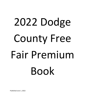# 2022 Dodge County Free Fair Premium Book

Published June 1, 2022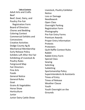**Table of Contents** Adult Arts and Crafts Beef Beef, Goat, Dairy, and Poultry Pre-Fair Registration Form Board of Directors Chores and Bedding Coloring Contest Commercial Exhibits and **Concessions** Creative Activities Dodge County Ag & Mechanical Membership Early Release Policy Exhibits Left After the Fair Exhibiting of Livestock & Poultry Rules Fairground Map Fair Directors Fine Arts Foods General Notice General Rules Goat Grains & Vegetables Horse Show **Horticulture** Junior Junior Dairy Cattle Show

Livestock, Poultry Exhibitor **Notice** Loss or Damage Needlework Open Class Overnight Parking Registration Form Photography Pre-Fair Entry Forms Premium Awards Proper Entry Information Protests **Protesters** Quilt Raffle Contest Rules Rabbit Rabbit Entry Form Special Class Sewing Soliciting Subletting Sportsmanship Policy Superintendents & Assistants Times of Entry Times of Release Weather Clause Youth Youth Overnight on the Grounds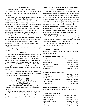#### **GENERAL NOTICE**

The management will not be responsible for typographical errors or omissions in this tabloid, but should any occur, same will be interpreted by the Board of Directors.

Because of the nature of our entry system, we do not guarantee that all exhibits will be displayed.

The Board of Directors reserves the final and absolute right to interpret these rules and regulations and determine all matters, questions, and differences in regard thereto otherwise arising out of an incident at the Fair.

The Fair Personnel will take every precaution in its power for the preservation of articles and stock on exhibition, but cannot be responsible for any loss or damage that may occur in the delivery, exhibition, or removal of the exhibits.

Garbage containers, dumpsters, and grease container will be placed in convenient locations on the fairgrounds. The Fair management asks fairgoers' cooperation in keeping the fairgrounds clean and inviting to all guests, visitors, and exhibitors.

The management will appreciate immediate reports of any mistreatment by any employee or concessionaire at the Fair.

#### **PARKING**

The Dodge County Fair will be operated from 7:00 a.m. until 9:00 p.m. each day Wednesday through Sunday. Parking charges will be made 1:00 p.m. to 9:00 p.m. on Wednesday and 12:00 p.m. to 9:00 p.m. on Thursday and Friday. Saturday hours will be 7:00 a.m. to 9:00 p.m. Sunday hours will be 12:00 p.m. to 4:00 p.m. We will be operating the livestock gate from 7:00 a.m. to 9:00 p.m. Wednesday through Saturday and 7:00 a.m. to 4:00 p.m. on Sunday.

Daily parking tickets and Season parking passes will be color coded for respective fairgrounds entrances. Parking Fees: \$5.00 daily and \$10.00 seasonal.

#### **GENERAL RULES for Open Class, Commercial Exhibitors, and Food Vendors**

General Rules can be found online or you can request a printed open class section by calling 507- 634-7736.

All inside commercial exhibit booths, FFA, Open Class, Home Economics, Creative Activities, Crops, Horticulture, Floral and Fine Arts exhibits will be displayed in the buildings on the south side of the fairgrounds.

#### **DODGE COUNTY AGRICULTURAL AND MECHANICAL SOCIETY BOARD OF DIRECTORS**

The Dodge County Agricultural and Mechanical Society is comprised of members from throughout Dodge County. To be a voting member, a resident of Dodge County must sign up and pay annual dues of \$5.00 at the Fair Secretary's Office by the close of each annual fair. Voting members of the Dodge County Agricultural and Mechanics Society can participate in the annual meeting and proceedings, including the election of the Board of Directors. The annual meeting is held in November of each year or at another time established by the Dodge County Agricultural and Mechanical Society membership. The Articles of Incorporation, and By Laws are available for inspection at the office of the secretary.

The Dodge County Fair Board of Directors are elected for three-year terms, representing each of Dodge County's townships and each of Dodge County's six cities. Each year the Board of Directors elects its own officers.

Following is a list of the current Board of Directors and other terms of office and area represented.

#### **HONORARY MEMBERS**

Served on the Board of Directors 20 consecutive years or more: Kendall Boyum

#### **DIRECTORS – 2022, 2023, 2024**

| Jack Crowson              | <b>Claremont Township</b> |
|---------------------------|---------------------------|
| <b>Scott Schley</b>       | <b>Ashland Township</b>   |
| Robert Scherger           | Wasioja Township          |
| Marilyn Lermon, President | <b>Mantorville City</b>   |
| Larry Kruckeberg          | <b>Claremont City</b>     |
| <b>Kelly Caspers</b>      | <b>Hayfield Township</b>  |
|                           |                           |

#### **DIRECTORS – 2021, 2022, 2023**

| Randy Ness                 | Vernon Township           |
|----------------------------|---------------------------|
| Ryan Hodgman               | <b>Concord Township</b>   |
| Eric Thronson              | <b>Ripley Township</b>    |
| Tom Franke, Vice President | <b>Westfield Township</b> |
| Doug Gochnauer             | <b>Milton Township</b>    |
| Jill Bigelow-Shea          | <b>Hayfield City</b>      |

#### **Members-At-Large - 2021, 2022, 2023**

Wilmer Garcia, Beth Hodgman, Pete Wyttenbach

#### **DIRECTORS – 2020, 2021, 2022**

Shelly Gochnauer, Secretary Mantorville Township Brian Carstensen Canisteo Township David Wetzstein Ellington Township Mike Brual, Treasurer West Concord City Lyle Allen Kasson City Julie Jorgenson **Dodge Center City**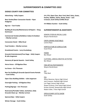# **SUPERINTENDENTS & COMMITTEES 2022**

# **DODGE COUNTY FAIR COMMITTEES**

**Advertising – Kelly Caspers**

**Beer Garden/Beer Concession Stands – Ryan Hodgman**

**Big Iron – Tom Franke**

**Building & Grounds/Maintenance & Repairs – Doug Gochnauer**

**Commercial Vendors/Exhibitors Indoor & Outdoor – Marilyn Lermon**

**Concession Stand – Mike Brual**

**Food Vendors – Marilyn Lermon**

**Grandstand Events – Larry Kruckeberg**

**Grounds Entertainment/Free Stage – Kelly Caspers & Julie Jorgenson**

**Honorary & Special Awards – Scott Schley**

**Horse Arena – Jill Bigelow-Shea**

**Ice Arena – Eric Thronson**

**Non Fair Building & Grounds Special Events Rentals – Scott Schley**

**Open Class Building Exhibits – Julie Jorgenson**

**Overnight Parking – Jill Bigelow-Shea**

**Parking/Signage – Eric Thronson**

**Restrooms/Portable Toilets, Sanitation, Daily Grounds Clean-up – Marilyn Lermon**

**Sponsorships – Kelly Caspers**

**Winter Storage – Scott Schley**

**4-H, FFA, Open Class, Barn Yard, Beef, Dairy, Goats, Poultry, Rabbits, Swine, Sheep, Goats – Jack Crowson, Scott Schley & Mike Brual**

**4-H Ribbon Auction – Scott Schley**

# **SUPERINTENDENTS & ASSISTANTS**

SENIOR CITIZEN & SPECIAL CLASS Wayne Hendrickson

CROPS-GRAINS-VEGETABLES Lorene Naze

HORTICULTURE & FLORICULTURE Susan Brual

FOODS Bev Meyer

CLOTHING, LINEN & CREATIVE ACTIVITIES Bev Meyer

FINE ARTS & PHOTOGRAPHY Wayne Hendrickson

4-H Toby Neal

#### FFA

Alison Newman, Byron High School Jack Crowson, Hayfield High School Lori Pagel, Kasson High School Shawn Erickson, Pine Island High School Kristen Schnell, Stewartville High School Robert Ickler, Triton High School

OPEN JR DAIRY CATTLE SHOW Scott Schley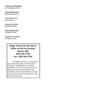#### OFFICIAL VETERINARIAN

Dr. Ross Bailey, D.V.M.

OPEN RABBIT SHOW Madelyn Beckstrom

OPEN BEEF SHOW Jack Crowson

OPEN GOAT SHOW Jennifer Therring

OPEN HORSE SHOW Jill Bigelow-Shea

OVERNIGHT PARKING Jill Bigelow-Shea

> **Dodge County Fair Secretary's Office on the Fair Grounds Kasson, MN (507) 634-7736 Fax: (507) 634-7743**

The Dodge County Fair is presenting a more elaborate program with the help of managers, superintendents, and citizen committees. The Fair is proud to present its Agricultural, Floral, Horticultural, Home Economics, Art, and Youth Exhibits. General announcements will be made by press, radio, and other advertising.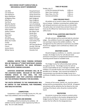#### **2022 DODGE COUNTY AGRICULTURAL & MECHANICAL SOCIETY MEMBERSHIP**

Levi Anderson Jason Gochnauer John Bierbaum Sandy Gochnauer Nancy Bierbaum Shelly Gochnauer Jill Bigelow-Shea Beth Hodgman Mike Brual **Ryan Hodgman** Sue Brual Julie Jorgenson MaryAnn Bucher Larry Kruckeberg Carrie Carstensen Marilyn Lermon Kelly Caspers **Barbara** Loquai Ashley Crowson Bev Meyer Jack Crowson **Randy Ness** Beth Davis Teresa Ness Jeff Davis **Grace Offord** Gerald Fahning **Robert Scherger** Robert Scherger Betty Ann Franke Scott Schley Tom Franke Sue Schley French **Jennifer Therring** Jessica Garcia David Wetzstein Wilmer Garcia **Amanda York** 

Lyle Allen Doug Gochnauer Brian Carstensen Merry Kruckeberg Dan French Jeff Therring Muriel

#### **TIME OF RELEASE**

Sunday, July 17:

| 4-H & FFA Livestock & Poultry | 4:00 p.m. |
|-------------------------------|-----------|
| Open Class Livestock          | 4:00 p.m. |
| Open Class, 4-H, FFA          | 7:00 p.m. |
| <b>Commercial Exhibits</b>    | 6:00 p.m. |

#### **EARLY RELEASE POLICY**

All exhibits are to remain in place until the designated time of release. Exhibitors removing their exhibits early will relinquish premiums and trips won on that exhibit. This policy does not include those animals that are sent home by the Official Fair Veterinarian due to illness or safety issues.

#### **NOTICE TO ALL LIVESTOCK AND POULTRY EXHIBITORS**

All stalls and pens will be examined daily by volunteer judges. Any exhibitors found to be negligent will receive one warning to improve the exhibit conditions. The management has the authority to send home any exhibit found to be negligent and to withhold any ribbons and premiums.

#### **WEATHER CLAUSE**

Should emergency conditions, i.e., weather, cause poor receipts, the Dodge County Fair will allocate listed premiums to be paid on a proportionate division to those receiving awards based on available funds.

#### **LOSS OR DAMAGE**

The Dodge County Fair will provide proper policing throughout the Fair. The Dodge County Fair will not assume responsibility for loss or damage to exhibits. Each exhibitor is to provide his/her own insurance coverage for possible loss or damage. Each commercial exhibitor or concessionaire must provide the Dodge County Fair a certificate of liability insurance at or prior to the time of set

#### **PROTESTS**

Protests of Fair events, awards, etc, must be made in writing and be accompanied by a fee of \$25.00. All appeals and protests will be settled by the Fair Board at the next meeting of the Board, when all parties involved will be heard.

#### **PROTESTERS**

Any person or group that conducts a protest action must limit its activities to the location designated by the Dodge County Fair Board. Any person or groups must contact the Fair office for the designated area.

**GENERAL VISITOR PUBLIC PARKING ENTRANCE WILL BE THROUGH 11TH STREET NORTHEAST, KASSON, MN TO BE DESIGNATED THE MAIN ENTRANCE. HANDICAPPED PARKING AVAILABLE.**

**LIVESTOCK EXHIBITORS ENTRANCE WILL BE AT THE LIVESTOCK BARNS. BECAUSE OF THE LIMITED PARKING SPACES IN THIS AREA, THE FAIR MANAGEMENT ASKS THAT LIVESTOCK EXHIBITORS**  up. **USE THIS ENTRANCE PRIMARILY FOR DELIVERIES.**

**THE SOUTH ENTRANCE TO THE FAIRGROUNDS WILL BE LIMITED TO FAIR WORKERS, FAIR PERSONNEL, AND WALK-IN VISITORS.**

#### **COMPETITION**

Competition is open to all Dodge County 4-H, FFA, and Open Class exhibitors and surrounding counties.

#### **CHORES AND BEDDING**

All bedding will be furnished by the exhibitor. All exhibits must be ready for public inspection by 9:00 a.m. daily. No corn stalks allowed.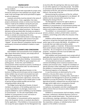#### **PROPER ENTRY**

Entries are open to Dodge County and surrounding county residents.

The exhibitor will be held responsible for proper entry. Entries for premiums in the individual Lots of grain, field seeds, fruits and forages shall not be permitted to appear as parts of collections.

Livestock and articles must be entered in the name of the bona fide owners. Grain, vegetables, fruit, dairy projects and domestic articles or entries must have been raised or made by the exhibitors during the past year.

Every article in competition must correspond in number and description with premium list and be in the proper class in order to obtain premiums. No change or alteration will be permitted after the books are placed in the hands of the judges, whose duty it will be to rule out all articles or animals not answering to the entry.

Grain and field seed shall be shown in clean bags and, unless otherwise designated, shall consist of one peck measure, and shall be thoroughly cleaned and not "clipped". All roots offered in competition shall be cleaned and properly trimmed and exhibited in baskets or open vessels.

#### **COMMERCIAL EXHIBITS AND CONCESSIONS**

Each Exhibitor and Concessionaire must complete and sign a Space Reservation Contract, and comply with all appropriate requirements.

When you arrive at the Fairgrounds, each Exhibitor must report to the Horticulture Building. Concessionaires must report to the Fair Office for space assignment, and parking passes. At this time, each Exhibitor or Concessionaire will be required to present a Certificate of Liability Insurance, Minnesota Sales Tax information (if applicable or disclaimer).

The Dodge County Agricultural Society is in the business of selling commercial space and we recognize that similar exhibits may not want to be located near each other. The Dodge County Fair management with the Exhibitors' or Concessionaires' agreement, reserves the right to change the location of your exhibit space in order to portray the best exhibit possible and not have competing exhibits side by side.

The Dodge County Agricultural Society, its board members, its sponsors, or the building supervisors are in no way responsible for any damages, losses to any property exhibited or used in exhibiting or by the Exhibitor or Concessionaire. It is the sole responsibility of the Exhibitor or Concessionaire to cover such losses or damages with her/her own insurance.

Each Exhibitor or Concessionaire will be required to show only the goods, services, or products described in his/her application. If the Exhibitor or Concessionaire does not occupy the space assigned, the Fair Management may

at any time after the opening hour allot any vacant space to such other applicant as it may deep proper. No exhibit or concession may be dismantled or removed during the continuance of the fair, and cannot be removed until after 6:00 p.m. the last day of the Fair.

Removal during the continuance of the Fair, without written permission by the Management is not allowed. All exhibits must be removed within twenty-four hours following the closing of the Fair.

The Management reserves the right to decline or prohibit any exhibit, exhibitor, proposed exhibit or exhibitors or concessionaire or concessionaires product not approved by the Management, and to permit only such matters and conduct as shall be approved.

The exhibitor's or concessionaire's reservation covers persons, products, conduct, printed matter, souvenirs, emblems, and all things which affect the character of the exhibition.

Exhibitors will be allowed to attach display materials with wire or string from the booth tube frames or with pins and/or tape to the curtains (NO NAILS). All exhibitors are to provide their own tables and ancillary exhibit equipment, supplies, or materials. All decorations must be flame-proof and pass inspection by all designated authorities. No cut evergreens can be used for decorative purposes. Evergreens and trees must be balled and burlapped or container grown.

Each exhibitor and concessionaire must comply with all applicable electrical and food regulations. Compliance will be enforced by respective inspectors.

110 amp electrical services are available in the commercial buildings and at numerous locations in the outdoor and concession areas. Charges for installation of special 220 amp or other installations must be paid for by the exhibitor or concessionaire and must be approved by the Electrical Inspector or Fire Marshall.

In case the premises are destroyed by fire or the elements, or by any other cause, or in case any circumstances whatsoever, including strikes, shall make it impossible for the Management to permit any exhibitor or exhibitors to occupy the premises, the Dodge County Agricultural Society is released from any and all claims for damages which might arise in consequence thereof.

Exhibitors or concessionaires shall not use microphones, loud speakers and other amplifying public address devices that are intrusive to other exhibitors or concessionaires.

Exhibitors or concessionaires shall not display, conduct interviews, conferences, distribute literature, lecture or conduct sales outside leased space. They shall not permit any conferences, meetings, solicitation of business or canvassing in their leased space, except in the interest of the corporation, company, or individual whose name appears on the exhibit or concession.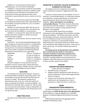Exhibitors or concessionaires shall not permit subletting space, nor is the license transferable.

Exhibitors or concessionaires accept full responsibility for all liabilities or damage to persons or property arising out of his/her use and occupancy of the premises and understands that the space agreement shall not be construed as a partnership but only as a license to use the space.

Exhibitors or concessionaires agree that the Dodge County Agricultural Society will not be responsible for any loss of goods or property by theft, fire, rain, or accident, nor an act of God.

Exhibitors or concessionaires agree that the cost of electrical connections, inspection fees, and related costs are to be borne by the exhibitor or concessionaire.

Exhibitors or concessionaires agree that they shall not interfere with other exhibitors or vendors by activity beyond the space assigned.

Exhibitors or concessionaires shall not conduct roving solicitation.

FOR SETUP: The Commercial Exhibit Buildings will be open Tuesday at 12 noon and at 9:00 a.m. on Wednesday. Exhibits should be in place by 1:00 p.m. on Wednesday. During the Fair, the Commercial Exhibit Building will be open to the public according to the following schedule. Attending your booth will be your responsibility.

| Wednesday | 1:00 p.m. to 10:00 p.m.  |
|-----------|--------------------------|
| Thursday  | 12 noon to 10:00 p.m.    |
| Friday    | 12 Noon to 10:00 p.m.    |
| Saturday  | 11:00 a.m. to 10:00 p.m. |
| Sunday    | 12 Noon to 6:00 p.m.     |
|           |                          |

Should an exhibitor or concessionaire have any questions or wish to reserve space, please feel free to contact Fair Board President, Marilyn Lermon at (507) 261- 2377 or 507-634-7736 (Dodge County Fair Office).

#### **SOLICITING**

No soliciting of any kind will be allowed. No person shall be permitted to distribute advertising matter or sell merchandise on the grounds except from their place of business or exhibit. The tacking or posting of any advertisement, bills, cards, etc., other than within the space occupied by the exhibitor is strictly prohibited. The distribution of hand bills, flyers, heralds, etc. will not under any circumstances be permitted. Anyone violating this rule will be liable to a fine or expulsion from the grounds as the Fair Board may elect.

#### **SUBLETTING SPACE**

No space can be sublet without approval of the Fair Board.

#### **EXHIBITION OF LIVESTOCK, POULTRY IN MINNESOTA, SUMMARY OF STATE RULE**

The Dodge County Fair management has adopted health requirements required or suggested by the state rule.

Livestock or poultry known by the exhibitor to have an infectious, communicable disease, or to have been exposed to an infectious, communicable disease, or to be from a quarantined herd or flock may not be entered in an exhibition. **Warts and ringworm are considered communicable diseases.** Therefore, livestock affected by these diseases cannot be exhibited. A statement from a veterinarian that an animal is being treated for these diseases is not acceptable.

All livestock will be inspected by the Official Veterinarian on the opening day of the exhibition and daily during the exhibition. The Official Veterinarian will order the immediate removal to a quarantine facility or removal from the exhibition premises of any livestock with symptoms or infectious or communicable diseases. Animals placed in a quarantine facility must remain there until removed from the exhibition premises. They may not enter a show ring. This includes livestock with warts or ringworm.

**All testing must be conducted prior to the exhibition, and a record of the test results on a test chart or Intrastate Certificate of Veterinary Inspection must accompany the tested animals.** Livestock and poultry entered in a petting exhibit are not exempt from the exhibition rules if the animals are from more than one farm or there are other animals at the exhibit.

#### **POULTRY (ORIGINATING FROM MINNESOTA)**

Except waterfowl and pigeons.

- Identified by leg or wing band.
- Negative pullorum-typhoid test within 90 days, or record of origin from a flock tested negative within the last 12 months.
- Turkeys must be tested at a laboratory for S. typhimurium and mycoplasmas, or have a statement or origin if less than 5 months old.

#### **SWINE**

#### **(ORIGINATING FROM MINNESOTA)**

All swine (including barrows) must have a negative pseudorabies test **within 30 days prior to the opening date** of the exhibition or originate directly from a Qualified Negative or Qualified Negative Gene-Altered Vaccinated herd.

Differential pseudorabies tests are approved for exhibition of Minnesota swine.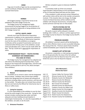#### **DOGS**

Dogs over 6 months of age must be accompanied by a current Certificate of Rabies Vaccination issued by a Licensed Veterinarian.

#### **HORSES**

EIA (Coggins) testing is required for horses to be exhibited at the 2021 Dodge County Fair.

The Dodge County Fair management highly recommends EIA testing (Coggins) for the protection of horses entering the fairgrounds or being exhibited at the 2017 Dodge County Fair.

#### **CATTLE, GOATS, SHEEP**

Animals must meet the Minnesota Importation requirements in addition to the requirements outlined in this summary. The Certificate of Veterinarian Inspection must list the name of the exhibition as consignee. Certificates will be accepted if examination and tests are conducted within 90 days prior to the exhibition, except swine pseudorabies tests, which must be made within 30 days. The Gp 1 ELISA test is approved for importation of swine.

# **SPORTSMANSHIP POLICY – YOUTH STAYING OVERNIGHT ON FAIRGROUNDS – FFA CODE OF ETHICS**

The Dodge County Fair management has adopted and will enforce the following Sportsmanship Policy, Youth Staying on the Fairgrounds Overnight Policy, and FFA Code of Ethics as they pertain to all 4-H, FFA, Show and Open Class exhibitors.

#### **SPORTSMANSHIP POLICY**

#### **1. Release**

All exhibits are to remain in place until the designated time of release. Exhibitors who remove their exhibits earlier than designated time of release will relinquish all premiums including ribbon auction premium, and trips won J on that exhibit. The policy does not include those animals that are sent home by the Official Fair Veterinarian due to illness or safety issues.

#### **2. Caring for Livestock**

It is the responsibility of the exhibitor to care for their animal the entire length of the county fair. Caring for their animals includes maintaining clean water and feed, adequate and clean bedding and participation in club/chapter herdsmanship. It is also the responsibility of the exhibitor, not adult, to do the work.

Written complaint is given to Extension Staff/FFA Advisor.

A committee made up of the 4-H Livestock Superintendent, Representative of FFA and Representative of the 4-H Executive Board will look into the matter.

If the complaint is valid, personal contact followed up with written notice will be sent to the member and parents involved. If the situation does not change, the Dodge County Fair Board Secretary will be notified and the exhibitor will relinquish all premiums, including ribbon auction premium and trips won on that project.

# **YOUTH STAYING ON THE FAIRGROUNDS OVERNIGHT**

No youth or parent will be allowed in livestock buildings after 12:00 a.m., without a written approval from the Dodge County Fair Board or the Dodge County Sheriff's Department.

#### **PREMIUM AWARDS**

All exhibitors' premium awards will be distributed by mail or other effective means as soon as possible following the closing of the Fair. Premium award checks should be cashed immediately upon receipt by the exhibitor.

#### **EXHIBITS LEFT AFTER FAIR**

Any person, corporation, or club owning any property left on the grounds after the close of the Fair without having approval of the Fair Board to leave the same, shall forfeit the same to the Fair Board for disposal.

#### **2021 Minnesota's District One Fairs!!**

---------------------------------------------------------------------

| July 1-4    | Cannon Valley Fair (Cannon Falls)            |
|-------------|----------------------------------------------|
| July 6-10   | Winona County Fair (St. Charles)             |
| July 13-16  | Wabasha County Fair (Wabasha)                |
| July 13-17  | <b>Waseca County Fair (Waseca)</b>           |
| July 18-24  | <b>Fillmore County Fair (Preston)</b>        |
| July 20-24  | Rice County Fair (Faribault)                 |
| July 25-31  | <b>Olmsted County Fair (Rochester)</b>       |
| August 2-7  | Freeborn County Fair (Albert Lea)            |
| August 8-14 | Dakota County Fair (Farmington)              |
| August 9-13 | Goodhue County Fair (Zumbrota)               |
| August 9-14 | Mower County Fair (Austin)                   |
|             | August 16-21 Steele County Fair (Owatonna)   |
|             | August 17-21 Houston County Fair (Caledonia) |
|             |                                              |

------------------------------------------------------------------------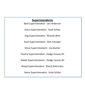# **Superintendents**

Beef Superintendent: Levi Anderson Dairy Superintendent: Scott Schley Dog Superintendent: Rhonda Weis Goat Superintendent: Rich Scherger Horse Superintendent: Lisa Bucher Poultry Superintendent: Dodge County 4H Rabbit Superintendents: Dodge County 4H Sheep Superintendent: Sheryl Dohrmann Swine Superintendent: Scott Schley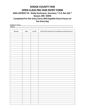# **DODGE COUNTY FAIR OPEN CLASS PRE-FAIR ENTRY FORM**

**MAIL ENTRIES TO: Shelly Gochnauer, Secretary \* P.O. Box 265 \* Kasson, MN 55944**

**Completed Pre-Fair Entry Forms Will Expedite Entry Process on Fair Entry Day**

**Exhibitor's Name \_\_\_\_\_\_\_\_\_\_\_\_\_\_\_\_\_\_\_\_\_\_\_\_\_\_\_\_\_\_\_\_\_\_\_\_\_\_\_\_\_\_\_\_\_\_\_\_\_\_\_\_\_\_\_\_\_\_\_\_\_\_\_\_\_\_\_\_ Address \_\_\_\_\_\_\_\_\_\_\_\_\_\_\_\_\_\_\_\_\_\_\_\_\_\_\_\_\_\_\_\_\_\_\_\_\_\_\_\_\_\_\_\_\_\_\_\_\_\_\_\_\_\_\_\_\_\_\_\_\_\_\_\_\_\_\_\_\_\_\_\_\_\_\_\_**

| Division | Class | Lot No. | Article (Use premium list wording to describe entry.) |
|----------|-------|---------|-------------------------------------------------------|
|          |       |         |                                                       |
|          |       |         |                                                       |
|          |       |         |                                                       |
|          |       |         |                                                       |
|          |       |         |                                                       |
|          |       |         |                                                       |
|          |       |         |                                                       |
|          |       |         |                                                       |
|          |       |         |                                                       |
|          |       |         |                                                       |
|          |       |         |                                                       |
|          |       |         |                                                       |
|          |       |         |                                                       |
|          |       |         |                                                       |
|          |       |         |                                                       |
|          |       |         |                                                       |
|          |       |         |                                                       |
|          |       |         |                                                       |
|          |       |         |                                                       |
|          |       |         |                                                       |
|          |       |         |                                                       |
|          |       |         |                                                       |
|          |       |         |                                                       |
|          |       |         |                                                       |
|          |       |         |                                                       |
|          |       |         |                                                       |
|          |       |         |                                                       |
|          |       |         |                                                       |
|          |       |         |                                                       |
|          |       |         |                                                       |
|          |       |         |                                                       |
|          |       |         |                                                       |
|          |       |         |                                                       |
|          |       |         |                                                       |
|          |       |         |                                                       |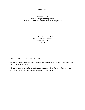#### **Division A & B Grains, Forages and Vegetables (Division A: Grains & Forages, Division B: Vegetables)**

**Lorene Naze, Superintendent 701 N. Mantorville Avenue Kasson, MN 55944 507-273-0357**

#### GENERAL RULES GOVERNING EXHIBITS

All articles competing for premiums must have been grown by the exhibitor in the current year unless indicated otherwise.

**All entries must be labeled as to variety and maturity.** All exhibits are to be entered from 12:00 p.m. to 8:00 p.m. on Tuesday in the Pavilion. (Building #7)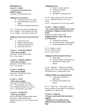# **DIVISION A**

**CLASS 1 - CORN**

 **Corn grown in previous year – Shelled 3 quarts.**

Premiums: \$6.00, \$4.00, \$2.00

# **Judging of corn based on:**

- A. Freedom from excess starch.
- B. Kernel plumpness, size, and shape.
- C. Freedom of damage and disease.
- Lot 1. Ten ears any variety and maturity.
- Lot 2. Shelled early maturity  $(95-103)$
- Lot 3. Shelled late maturity (104-110)

#### **Judging of wheat, barley and oats based on:**

- A. Variety mixtures.
- B. Maturity and soundness
- C. Plump and disease free.
- D. Clean and weed free.
- **CLASS 2 – WINTER WHEAT**

 **Three quart samples.**

Premiums: \$6.00, \$4.00, \$2.00 Lot 4. Any variety.

# **CLASS 3 – SPRING WHEAT**

 **Three quart samples.**

Premiums: \$6.00, \$4.00, \$2.00 Lot 5. Any variety.

# **CLASS 4 – BARLEY**

 **Three quart samples.** Premiums: \$6.00, \$4.00, \$2.00 Lot 6. Any variety.

# **CLASS 5 – OATS**

## **Three quart samples.**

Premiums: \$6.00, \$4.00, \$2.00 Lot 7. Early maturity, any variety. Lot 8. Medium maturity, any variety. Lot 9. Late maturity, any variety.

#### **CLASS 6 – SOYBEANS Three quart samples.**

Private and Public varieties (must label) Premiums: \$6.00, \$4.00, \$2.00 Maturity based on U. of M. Variety Trials Bulletin

# **Judging based on:**

- A. Crack or mixed varieties
- B. Uniform and bright
- C. Weed seed
- D. Shrunken or immature seed

Lot 10. Early maturity (0-.9), any variety.

Lot 11. Medium maturity (.9-1.8), any variety

Lot 12. Late maturity (1.9-2.4), any variety

# **CLASS 7 – SHEAF GRAIN**

 **New crop bundles should be three inches in diameter, stripped, and tied with two bands.**

Premiums: \$6.00, \$4.00, \$2.00

**Judging of barley, wheat, and oats in straw based on:**

- A. Freedom from disease
- B. Seed head quality and plumpness
- C. General appearance of sample
- Lot 13. Barley in straw.
- Lot 14. Wheat in straw.
- Lot 15. Oats in straw.

# **Judging of soybean sample based on:**

- A. Plant vigor
- B. Seed pod quality and appearance
- C. Freedom from insects and disease

Lot 16. Soybeans – 6 plants not stripped. Display with roots in soil wrapped in plastic and displayed in a 5-quart plastic pail.

# **Judging of field corn sample based on:**

- A. Plant vigor and general appearance.
- B. Freedom from disease and insects.

Lot 17. Field Corn – Three plants with at least six inches of unwashed root and plastic wrapped or in a plastic pail.

# **CLASS 8 – FORAGE**

 **Bring a six inch bale slide (tied and/or bagged).**

 **Haylage and corn silage must be displayed in one gallon plastic Ziploc bags.**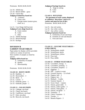Lot 18. Alfalfa hay

- Lot 19. Mixed Alfalfa grass
- Lot 20. Clover Hay

#### **Judging of baled hay based on:**

- A. Leafiness
- B. Green color
- C. Foreign matter (mature grass, chaff, etc.)

#### Lot 21. Corn Silage (fall harvest) **Judging of corn silage based on:**

- A. Grain content
- B. Color
- C. Odor
- Lot 22. Alfalfa Haylage
- Lot 23. Mixed Haylage
- Lot 24. Ryelage

# **DIVISION B GARDEN VEGETABLES**

Paper plates for display will be provided. Label as to variety of each lot. Have number of samples as listed by species.

#### **Judging will be based on:**

- A. Uniformity of sample
- B. Quality
- C. Showmanship

Premiums: \$3.00, \$2.00, \$1.00

#### **CLASS 10 – ROOT CROPS**

- Lot 28. Radishes  $-3$ Lot 29. Horseradish  $-3$
- Lot 30. Beets  $-3$
- Lot 31. Carrots  $-3$
- Lot 32. Kohlrabi, green  $-1$
- Lot 33. Kohlrabi, purple  $-1$

#### **CLASS 11 – SALAD CROPS**

- Lot 34. Cabbage, one head Lot 35. Chard, one bunch Lot 36. Cauliflower, one head
- Lot 37. Kale, one plant
- Lot 38. Broccoli, one bunch

#### **Judging of haylage based on:**

- A. Stage at cutting
- B. Color
- C. Odor

# **CLASS 9 - POTATOES**

 **Six specimens of each variety displayed at exhibitors' discretion. Label as to variety and must be free of dirt.** Premiums: \$6.00, \$4.00, \$2.00

- Lot 25. Any red variety.
- Lot 26. Any white variety.
- Lot 27. Any yellow variety.

#### **Judging of potatoes based on:**

- A. Uniformity of size and shape
- B. Freedom of scab and disease
- C. Firm and clean

### **CLASS 12 – LEGUME VEGETABLES – 6 SPECIMENS**

- Lot 39. String Beans, purple
- Lot 40. String Beans, green
- Lot 41. String Beans, yellow
- Lot 42. Peas, pod
- Lot 43. Peas, edible

#### **CLASS 13 – OTHER VEGETABLES**

- Lot 44. Cucumbers, slicing  $-3$
- Lot 45. Cucumbers, pickling  $-3$
- Lot 46. Cucumbers, burpless  $-2$
- Lot 47. Eggplant  $-1$
- Lot 48. Dill 3 stems in water
- Lot 49. Ground Cherries 12 in husk
- Lot 50. Peppers, bell  $-3$
- Lot 51. Peppers, hot  $-3$
- Lot 52. Rhubarb  $-3$  stalks
- Lot 53. Summer Squash 1
- Lot 54. Swiss Chard  $-3$  plants
- Lot 55. Onions, green table  $-5$
- Lot 56. Onions, yellow globe  $-3$
- Lot 57. Onions, white globe  $-3$
- Lot 58. Onions, red globe  $-3$
- Lot 59. Tomatoes  $-3$
- Lot 60. Cherry Tomatoes  $-5$
- Lot 61. Turnips  $-3$
- Lot 62. Banana Peppers 3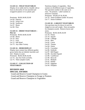#### **CLASS 14 – FIELD VEGETABLES**

Display of six stalks tied in a bundle with at least six (6) inches of root attached and wrapped in plastic or in a plastic pail.

Premiums: \$6.00, \$4.00, \$2.00 Lot 64. Popcorn Lot 65. Sweet Corn Lot 66. Sunflower Lot 67. Beans Lot 68. Peas

#### **CLASS 15 – DRIED VEGETABLES – Pint Jar**

Premiums: \$6.00, \$4.00, \$2.00 Lot 69. Beans Lot 70. Peas Lot 71. Fruit Lot 72. Dill Weed Lot 73. Any Other Variety

## **CLASS 16 – HERB DISPLAY**

Display must contain four different garden grown herbs that are labeled, bunched, and tied. Display in water. Premiums: \$6.00, \$4.00, \$2.00 Lot 74. Any four fresh cut herbs. Lot 75. Three samples Garlic.

#### **CLASS 17 – COLLECTION OF VEGETABLES**

# **DIVISION A&B SPECIAL AWARDS**

 Grand and Reserve Grand Champion in Grains Grand and Reserve Champion in Forage or Potatoes Grand and Reserve Champion in Vegetables

Nutritious display of vegetables. Must contain six (6) different types of vegetables. The specimen number is the same as in class. No potatoes. Label varieties in attractive container. Premiums: \$10.00, \$7.50, \$5.00 Lot 76. Junior Exhibitor (under 18 years) Lot 77. Senior Exhibitor

#### **CLASS 18 – LARGEST VEGETABLES**

One specimen may be shown in each lot. Judged on size and weight. Does not quality for champion awards. Remove leaves and stems.

Premiums: \$6.00, \$4.00, \$2.00 Lot 78. Potato

- Lot 79. Squash
- Lot 80. Cabbage
- Lot 81. Beet
- Lot 82. Carrot
- Lot 83. Tomato
- Lot 84. Onion
- Lot 85. Cucumber
- Lot 86. Kohlrabi
- Lot 87. Bell Pepper
- Lot 88. Zucchini Squash
- Lot 89. Cauliflower
- Lot 90. Broccoli
- Lot 91. Rhubarb
- Lot 92. Radish
- Lot 93. Eggplant
- Lot 94. Pumpkin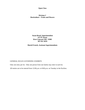#### **Division C Horticulture – Fruits and Flowers**

**Susan Brual, Superintendent 527 6th Street West Concord, MN 55985 507-951-3070**

**Muriel French, Assistant Superintendents**

# GENERAL RULES GOVERNING EXHIBITS

Only one entry per lot. Only one person from one family may enter in each lot.

All entries are to be entered from 12:00 p.m. to 8:00 p.m. on Tuesday in the Pavilion.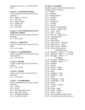Premiums for classes 1-10: \$4.00, \$3.00, \$2.00

# **CLASS 1 – STANDARD APPLES**

A plate of applies must consist of five (5) specimens. Lot 1. Harvest – Summer Lot 2. Early Fall Lot 3. Winter Keeper Lot 4. Edible Crab Lot 5. Jelly Crab Lot 6. Any Other

# **CLASS 2 – ANY OTHER FRUIT NOT ALREADY NAMED**

A plate of cherries must consist of five (5) specimens. Lot 1. Any Variety

# **CLASS 3 – CURRANTS**

A plate of currants must consist of five (5) stems. Lot 1. Any Variety

# **CLASS 4 – GOOSEBERRIES**

A plate of gooseberries must consist of ten (10) specimens. Lot 1. Any Variety

# **CLASS 5- GRAPES**

A plate of grapes must consist of four (4) bunches. Lot 1. Any Variety

#### **CLASS 6 – PEARS**

A plate of pears must consist of five (5) specimens. Lot 1. Any Variety

#### **CLASS 7 – RASPBERRIES**

A plate of raspberries must consist of (10) specimens.

- Lot 1. Latham
- Lot 2. Boyne
- Lot 3. Any Other Red Variety
- Lot 4. Any Gold Variety
- Lot 5. Wild Black Raspberry
- Lot 6. Any Black Variety

#### **CLASS 8 – FLOWERS**

Suitable container of three (3) stems uniform in length and size of bloom.

- Lot 1. Astilbe
- Lot 2. Ageratum
- Lot 3. Bachelor Button
- Lot 4. Calendula
- Lot 5. Clematis
- Lot 6. Coneflowers
- Lot 7. Corabells
- Lot 8. Coreopsis
- Lot 9. Cosmos Old Fashioned
- Lot 10. Cosmos Bright Lights
- Lot 11. Daisy Small
- Lot 12. Daisy Large
- Lot 13. Day Lily Stella de Oro
- Lot 14. Flowering Bush
- Lot 15. Gaillardia
- Lot 16. Hosta Flower
- Lot 17. Hosta Leaves Miniature
- Lot 18. Hosta Leaves Small
- Lot 19. Hosta Leaves Medium
- Lot 20. Hosta Leaf Collection 3 Different Leaves
- Lot 21. Marigold Small 1"-1 $\frac{3}{4}$ " Yellow
- Lot 22. Marigold Small 1"-1 $\frac{3}{4}$ " Orange
- Lot 23. Marigold Small  $1"$ -1  $\frac{3}{4}"$ Variegated
- Lot 24. Marigold Medium  $2 3$ "
- Lot 25. Marigold Petite  $\frac{1}{2}$ "-1"
- Lot 26. Monarda
- Lot 27. Pansies
- Lot 28. Petunia Single
- Lot 29. Petunia Double
- Lot 30. Pinks
- Lot 31. Rudbekia Small
- Lot 32. Rudbekia Large
- Lot 33. Salvia
- Lot 34. Snapdragon Small
- Lot 35. Snapdragon Large
- Lot 36. Statice
- Lot 37. Verbena Annual
- Lot 38. Yarrow
- Lot 39. Zinnia Small
- Lot 40. Zinnia Medium
- Lot 41. Zinnia Large
- Lot 42. Any annual not already named.
- Lot 43. Any perennial not already named.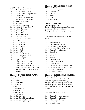Suitable container of one stem. Lot 44. Butterfly Weed Lot 45. Dahlia Bloom – Under 3" Lot 46. Dahlia Bloom – Large, Over 3" Lot 47. Delphinium Lot 48. Gladiolus – Small Bloom Lot 49. Gladiolus – Large Bloom Lot 50. Hosta Leaf – Large Lot 52. Hydrangea Lot 53. Colored Hydrangea Lot 54. Marigold – Large Over 3" Lot 55. Phlox – Perennial Lot 56. Roses – Bush Lot 56. Roses – Floribunda Lot 57. Roses – Miniature Lot 58. Tea Rose – Red Lot 59. Tea Rose – Any Color Lot 60. Cala Lily Lot 61. Lily – Double Lot 62. Lily – Yellow Lot  $63$ . Lily – Orange Lot 64. Lily – Pink Lot 65. Lily – Red Lot 66. Lily – White Lot 67. Lily – Bicolor/Multicolor Lot 68. Lily – Any Other Color Lot 69. Lily – Stargazer Lot 70. Tiger Lily Lot 71. Large Day Lily – Yellow Lot 72. Large Day Lily – Orange

- Lot 73. Large Day Lily–Bicolor/Multicolor
- Lot 74. Large Day Lily Any Other Color
- Lot 75. Any other lily variety not already named.

#### **CLASS 9 – POTTED HOUSE PLANTS**

- Lot 1. African Violet
- Lot 2. Begonia
- Lot 3. Cactus
- Lot 4. Dish Garden
- Lot 5. Hibiscus
- Lot 6. Ivy
- Lot 7. Philodendron
- Lot 8. Succulent
- Lot 9. Swedish Ivy
- Lot 10. Terrariums
- Lot 11. Unusual Plant
- Lot 12. Any Other Blooming Plant
- Lot 13. Any Other Foliage Plant
- Lot 14. Any Other Vining Plant

#### **CLASS 10 – FLOATING FLOWERS – ANY VARIETY**

- Lot 1. Tuberous Begonias
- Lot 2. Clematis
- Lot 3. Dahlias
- Lot 4. Roses
- Lot 5. Orchid
- Lot 6. Any Other

#### **CLASS 11 – FLOWER ARRANGEMENTS**

These will be judged on design of materials, containers, color, and originality. Arrangements must be arranged in fresh floral foam.

Premiums for these lots are: \$4.00, \$3.00, \$2.00

- Lot 1. Garden Flowers
- Lot 2. Dahlias Predominating
- Lot 3. Gladiolus Predominating
- Lot 4. Perennial Phlox Predominating
- Lot 5. Garden Flower Bouquet
- Lot 6. Carnations
- Lot 7. Marigolds
- Lot 8. Roses
- Lot 9. Zinnias
- Lot 10. Wild Flowers
- Lot 11. Any Other Flower
- Lot 12. Dried Flowers
- Lot 13. Miniature Fresh Flowers  $-2$ "-6"
- Lot 14. Miniature Dried Flowers  $-2$ "-6"
- Lot 15. Wreaths or Corsages
- Lot 16. Foliage Bouquet

#### **CLASS 12 – JUNIOR HORTICULTURE**

Anyone ages 5-16

Rules: Same as open class. This class is for Juniors to enjoy the fun of creating, arranging flowers, growing plants in the home and garden. Work must be done by them with only verbal suggestions from the parents.

Premiums: \$4.00, \$3.00, \$2.00

- Lot 1. Garden Flower Arrangement
- Lot 2. Garden Flower Bouquet
- Lot 3. Wild Flower Bouquet
- Lot 4. Floating Flowers
- Lot 5. Blooming Plant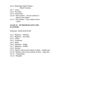Lot 6. Blooming Outdoor Plantar – Mixed Varieties

- Lot 7. Cactus
- Lot 8. Succulent
- Lot 9. Green Plant
- Lot 10. Dish Gardens several varieties of plants in low planter
- Lot 11. Fair Gardens must contain at least 1 plant

#### **CLASS 13 – OUTDOOR PLANTS AND PLANTERS**

Premiums: \$4.00, \$3.00, \$2.00

- Lot 1. Begonias Tuberous
- Lot 2. Begonias Any Other
- Lot 3. Coleus
- Lot 4. Geraniums
- Lot 5. Herbs
- Lot 6. Impatiens Single
- Lot 7. Impatiens Double
- Lot 8. Petunias
- Lot 9. Planters with several varieties in them smaller pots
- Lot 10. Planters with several varieties in them large pots.
- Lot 11. Vining Plants
- Lot 12. Marigold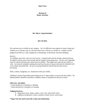#### **Division D Home Activities**

**Bev Meyer, Superintendent**

#### **503-729-4631**

We welcome you to exhibit in any category. As it is difficult to pre-register in foods, bring your exhibits in on Tuesday and we will enter them from 12:00 p.m. to 8:00 p.m. Exhibits will be judged from 8:00 a.m. until completion on Wednesday in the Home Activities Building.

#### RULES

An exhibitor may show only one entry per lot. Canned foods must be freshly canned and must be labeled with the type of processing and the length of processing time. All non-acid vegetables must be canned with pressure canner process method. The judges may open the jars if they so wish. Jars must be standard canning ones and may be pints or quarts and must be exhibited with screw bands and sealed lids. No jar of canning should be entered that has been shown previously.

Rolls, cookies, doughnuts, etc. should have three per exhibit.

Exhibitors, please bring baked goods displayed on 6" paper plates covered with clear plastic. No baked products should be returned to exhibitor unless so requested on the day of entry.

#### **SPECIAL AWARDS**

 Grand and Reserve Champion in Baking Grand and Reserve Champion in Canning

#### **Judging based on:**

- A. Appearance (size, shape, surface, crust color, and crumb color)
- B. Lightness (tenderness, texture, moisture content, flavor, and aroma)

#### **\*Sugar free lots need to provide recipe and substitution.**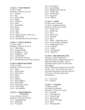#### **CLASS 1 – YEAST BREAD**

½ loaf or 3/entry Premiums: \$2.00, \$1.50, \$1.25 Lot 1. Oatmeal Lot 2. Rye Lot 3. Whole Wheat Lot 4. Bagels Lot 5. Cinnamon Lot 6. White Lot 7. Sour Dough Lot 8. Raisin Lot 9. French Lot 10. Herb Lot 11. Rolls Lot 12. Special (Cheese, Onion, Etc.) Lot 13. Bread Sticks Lot 14. Not Specified, Please ID Product

#### **CLASS 2 – SWEET DOUGH**

1/ ring or 3/entry Premiums: \$2.00, \$1.50, \$1.00 Lot 1. Coffee Ring Lot 2. Cinnamon Rolls Lot 3. Doughnuts – Yeast Lot 4. Doughnuts – Cake Lot 5. Caramel Rolls Lot 6. Sweet Rolls with Fruit Lot 7. Not Specified and/or Nuts, Please ID

#### **CLASS 3- BREAD MACHINE**

½ loaf or 3/entry Premiums: \$2.00, \$1.50, \$1.00 Lot 1. White Lot 2. Whole Wheat Lot 3. Other Grains Lot 4. French Lot 5. Raisin Lot 6. Oatmeal Lot 7. Herb Additions Lot 8. Dinner Rolls Lot 9. Sweet Rolls, 3/entry Lot 10. Sour Dough Lot 11. Not Specified

#### **CLASS 4 – QUICK BREADS – NO YEAST**

½ loaf, muffins, or biscuits Premiums: \$2.00, \$1.50, \$1.00 Lot 1. Vegetable Bread Lot 2. Date Bread Lot 3. Fruit Bread

Lot 4. Corn Bread Lot 5. Banana Bread Lot 6. Baking Powder Biscuits Lot 7. Coffee Cake Lot 8. Not Specified Lot 9. Sugar Free Lot 10. Muffins

#### **CLASS 5 – CAKES**

No cake mixes or frosting. ¼ cake or 3 cupcakes per entry Premiums: \$2.00, \$1.50, \$1.00 Lot 1. Chiffon Cake Lot 2. Bundt Cake Lot 3. Fruit Lot 4. Devils Food Lot 5. Jelly Roll Lot 6. Spice Lot 7. White –  $(Egg$  whites only.) Lot 8. Carrot or Other Vegetables Lot 9. Sponge/Angel Food Lot 10. Cupcakes Lot 11. Pound Lot 12. Not Specified

Lot 13. Sugar Free

#### **CLASS 6 – DECORATED CAKE**

Premiums: \$4.00, \$3.00, \$2.00 Decorated cakes are judged for decorative skills and overall eye appeal. May be decorated "dummy cake" may take home after judging.

Wilton will be sponsoring prizes for the best of class. The  $1<sup>st</sup>$  prize winner will receive the tricolor decorating set and the runner up will receive a 20-piece buttercream decorating set.

Lot 1. Party Cake Lot 2. Cupcake

#### **CLASS 7 – COOKIES**

3 cookies per entry. Not frosted or decorated. Premiums: \$1.50, \$1.25, \$1.00 Lot 1. Chocolate Lot 2. Chocolate Chip Lot 3. Oatmeal Drop Lot 4. Peanut Butter Lot 5. White Drop Sugar Lot 6. Filled Lot 7. Snickerdoodles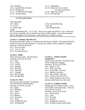Lot 8. Pumpkin Lot 9. Assorted Plate of Six (6) Lot 10. Refrigerator Lot 11. No Bake (No Raw Eggs) Lot 12. Oatmeal Raisin

#### Cut Out Cookie Recipe

Whip until fluffy  $\frac{1}{2}$  C. Crisco 1 Tsp. Salt 2 Eggs

Lot 13. Gingersnaps Lot 14. Recipe for cut out cookie. Use only recipe below. Lot 15. Sugar Free Cookie Lot 16. Not Specified

1/4 C. Butter  $\frac{1}{2}$  Tsp. Almond Flavoring 1 C. White Sugar 1 Tsp. Baking Powder

Mix in with blending fork – 2  $\frac{1}{2}$  C. Flour. Wrap in wax paper and chill for  $\frac{1}{2}$  hour. Break into four sections and gently roll out with the least amount of flour added. Cut into desired shapes. Bake at 400 degrees F for 6-8 minutes. Frost and decorate. Exhibit 3 cookies.

#### **CLASS 8 – COOKIE JAR SPECIAL**

One dozen homemade cookies, in a container decorated by the exhibitor. Decorations should be related to the type of cookie displayed. Container and cookies will be considered in judging. Premiums: \$2.50, \$2.00, \$1.50

- Lot 1. Up to 12 Years
- Lot 2. 13 to 17 years

Lot 3. 18 Years and Over

#### **CLASS 9 – BARS**

Three (3) bars per entry. May be frosted. Premiums: \$1.50, \$1.25, \$1.00

- Lot 1. Date
- Lot 2. Lemon
- Lot 3. Layered
- Lot 4. Pumpkin
- Lot 5. Brownies
- Lot 6. Chocolate
- Lot 7. Unbaked
- Lot 8. Rice Krispies
- Lot 9. Not Specified

#### **CLASS 10 – PIES**

Two (2) crust, not to exceed 5" in diameter. NO CREAM OR CUSTARD PIES Premiums: \$1.50, \$1.25, \$1.00 Lot 1. Apple Lot 2. Blueberry Lot 3. Cherry Lot 4. Peach Lot 5. Rhubarb Lot 6. Strawberry Lot 7. Pecan Lot 8. Unfilled Pie Crust Lot 9. Not Specified

#### **CLASS 11 – WHOLE GRAIN GOODNESS**

Submit recipe with entry. Nutritional value will be considered in judging.

Premiums: \$1.50, \$1.25, \$1.00

- Lot 1. Bread,  $\frac{1}{4}$  Loaf
- Lot 2. Rolls, 3 per entry
- Lot 3. Sweet Rolls, 3 per entry
- Lot 4. Muffins, 3 per entry
- Lot 5. Dinner Rolls, 3 per entry
- Lot 6. Granola in Jar with Cover
- Lot 7. Snacks (crackers, nuts, cereal

mixtures, dried fruit) in jar with cover.

#### **CLASS 12 – ETHNIC FOODS**

Baking typical of foreign countries. Entry must include country and recipe. Three (3) of any kind or  $\frac{1}{4}$  of loaf. Premiums: \$1.50, \$1.25, \$1.00 Lot 1. Danish Pastry Lot 2. Lefse Lot 3 Jule Kage Lot 4. Kolache Lot 5. Fattigmand, 3 per entry Lot 6. Swedish Limpa (Caraway Rye)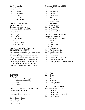Lot 7. Krumkake Lot 8. Rosettes Lot 9. Marzipan Lot 10. Kuchen Lot 11. Flat Bread Lot 12. Stollen Lot 13. Tortillas Lot 14. Not Specified

#### **CLASS 13 – CANDIES – CONFECTIONS**

Three (3) pieces per entry. Premiums: \$1.50, \$1.25, \$1.00 Lot 1. Caramel Lot 2. Divinity Lot 3. Fudge Lot 4. Mints Lot 5. Nut Brittle Lot 6. Taffy Lot 7. Peanut Clusters Lot 8. Not Specified

#### **CLASS 14 – DODGE COUNTY'S GREAT HOMEMAKERS**

Here is an opportunity for everyone to enter. Use a "mix", but "doctor" it up to your choosing. Bring your recipe (on a card), telling what ingredients and methods were used. This enables you to use any of the mixes. Maybe there is a new mix on the market. Why not create something new. Exhibit  $\frac{1}{4}$  cake or three (3) bars, cookies, etc.

#### **CANNING**

#### **Judging based on:**

- A. Appearance (Sealing, Label, Container, and Packing)
- B. Color
- C. Clearness

#### **CLASS 16 - CANNED VEGETABLES**

Half pints, pint, or quarts.

Premiums: \$1.25, \$1.00, \$0.75

Lot 1. Beans – Green Lot 2. Beans – Yellow Lot 3. Beets Lot 4. Carrots

Premiums: \$3.00, \$2.00, \$1.00 Lot 1. Coffee Cake Lot 2. Cake Lot 3. Bundt Cake Lot 4. Cookies Lot 5. Muffin Mix Lot 6. Bars Lot 7. Hot Roll Mix Lot 8. Frozen Bread Lot 9. Sweet Roll Lot 10. Quick Bread Lot 11. Streusel Mix Lot 12. Brownies Lot 13. Not Specified

#### **CLASS 15 – HONEY FOODS**

- Bring recipe for all lots. Premiums: \$1.50, \$1.25, \$1.00 Lot 1. Bread Lot 2. Cake Lot 3. Bars, three  $(3)$ Lot 4. Cake Lot 5. Quick Bread Lot 6. Cookies, three  $(3)$ Lot 7. Muffins, three (3) Lot 8. Baklava Lot 9. Condiments Lot 10. Dinner Rolls, three (3) Lot 11. Ice Cream Topping Lot 12. Not Specified – Please ID Product
	- Lot 5. Corn Lot 6. Greens Lot 7. Squash Lot 8. Peas Lot 9. Pumpkin Lot 10. Not Specified

# **CLASS 17 – TOMATOES**

Premiums: \$1.25, \$1.00, \$0.75 Lot 1. Tomatoes Lot 2. Tomato Juice Lot 3. Tomato Mixture (Stewed) Lot 4. Not Specified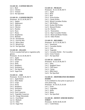# **CLASS 18 – CANNED MEATS**

- Lot 1. Beef
- Lot 2. Chicken
- Lot 3. Venison
- Lot 4. Not Specified

#### **CLASS 19 – CANNED FRUITS**

Premiums: \$1.25, \$1.00, \$0.75 Lot 1. Apples Lot 2. Applesauce Lot 3. Apricots Lot 4. Cherries Lot 5. Peaches Lot 6. Pears Lot 7. Plums Lot 8. Raspberries Lot 9. Rhubarb Lot 10. Strawberries Lot 11. Fruit Pie Mix Lot 12. Mince Meat Lot 13. Mixed Fruit Lot 14. Not Specified

#### **CLASS 20 – JELLIES**

To be in standard half pint or regulation jelly glasses. Premiums: \$1.25, \$1.00, \$0.75 Lot 1. Apple Lot 2. Blackberry Lot 3. Grape Lot 4. Plum Lot 5. Raspberry Lot 6. Strawberry Lot 7. Not Specified Lot 8. Sugar Free

# **CLASS 21 – JAM**

Premiums: \$1.25, \$1.00, \$0.75 Lot 1. Apple Butter Lot 2. Plum Butter Lot 3. Grape Lot 4. Peach Lot 5. Raspberry Lot 6. Strawberry Lot 7. Zucchini Lot 8. Fruit Conserves Lot 9. Vegetable Conserves Lot 10. Orange Marmalade Lot 11. Fruit Blend Lot 12. Rhubarb Lot 13. Other Lot 14. Sugar Free

#### **CLASS 22 – PICKLES**

- Premiums: \$1.25, \$1.00, \$0.75
- Lot 1. Apple
- Lot 2. Bean
- Lot 3. Beet
- Lot 4. Sweet Pickles
- Lot 5. Chunk Pickles
- Lot 6. Mixed Cucumber Pickles
- Lot 7. Dill Pickles
- Lot 8. Kosher Dill Pickles
- Lot 9. Mustard Pickles
- Lot 10. Peaches
- Lot 11. Watermelon
- Lot 12. Ripe Cucumber Pickles
- Lot 13. Bread and Butter Pickles
- Lot 14. Other Pickles

#### **CLASS 23 – RELISHES**

- Premiums: \$1.25, \$1.00, \$0.75
- Lot 1. Sauerkraut
- Lot 2. Cucumber Relish
- Lot 3. Corn
- Lot 4. Vegetable
- Lot 5. Cucumber Relish No Cucumber
- Lot 6. Green Tomato
- Lot 7. Not Specified

#### **CLASS 24 – SAUCES**

- Premiums: \$1.25, \$1.00, \$0.75 Lot 1. Salsa Lot 2. Spaghetti Sauce Lot 3. Chili Sauce Lot 4. Catsup Lot 5. BBQ Sauce
- Lot 6. Not Specified

#### **CLASS 25 – DEHYDRATED OR DRIED FOODS**

To be exhibited in clear print or quart jar or clear plastic bag. Premiums: \$1.50, \$1.25, \$1.00 Lot 1. Fruits Lot 2. Vegetables Lot 3. Herbs Lot 4. Meats Lot 5. Not Specified

# **CLASS 26 – HONEY AND/OR MAPLE SYRUP**

Premiums: \$3.00, \$2.00, \$1.00 Lot 1. Comb Honey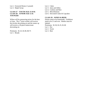Lot 2. Extracted Honey (1 pound) Lot 3. Maple Syrup

### **CLASS 27 – YOUTH AGE 13-18 & CLASS 28 – JUNIOR AGE 12 & YOUNGER**

Wilton will be sponsoring prizes for the best of class. The 1st prize winner will receive the tricolor decorating set and the runner up will receive a 20-piece buttercream decorating set.

Premiums: \$1.25, \$1.00, \$0.75 Lot 1. Breads

Lot 2. Cakes

- Lot 3. Jams and Jellies
- Lot 4. Cookies and Bars
- Lot 5. Miscellaneous
- Lot 6. Decorated Cakes & Cupcakes

# **CLASS 29 – WINES & BEER**

Entries need to be homemade. Exhibitors need to be 21 and over. Bottles must be labeled. Premiums: \$1.50, \$1.25, \$1.00 Lot 1. Dry Lot 2. Sweet Lot 3. Beer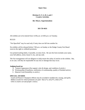#### **Division E, F, G, H, I, and J Creative Activities**

#### **Bev Meyer, Superintendent**

#### **503-729-4631**

All exhibits are to be entered from 12:00 p.m. to 8:00 p.m. on Tuesday.

#### RULES

"Not Specified" may be used only if entry does not fall into another lot.

No exhibits will be released before 7:00 p.m. on Sunday or the Dodge County Fair Board reserves the right to withhold premiums.

Use printed mailing labels, if possible, on entry form. Be sure the form includes your name, your full address, street, house #, city, and zip code.

The Fair management will use diligence to help ensure the safety of articles in the exhibits. But, in no case, will they be responsible for any loss or damage that may occur.

#### **Judging based on:**

- A. General Appearance (Eye appeal, color & design, and condition of article.)
- B. Workmanship (Cleanliness, uniformity of workmanship, quality of finished article.)
- C. Material Used (Suitability to article.)

#### **SPECIAL AWARDS**

 Grand and Reserve Champion ribbons may be awarded in needlework, sewing, and quilts. Ribbon awards for which premiums are paid: blue  $(1<sup>st</sup>)$ , red  $(2<sup>nd</sup>)$ , white  $(3<sup>rd</sup>)$ . Gifts in creative art and people's choice.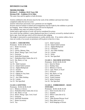# **DIVISION E & ESR**

# **NEEDLEWORK**

**Division E – Exhibitor 18-65 Years Old**

**Division ESR – Exhibitor 65 & Older**

The same class and lot applies to both divisions.

Articles exhibited in this division must be the work of the exhibitor and must have been completed within the last two years.

Articles which have previously won a premium are not eligible.

Pictures must be framed or matted and arrangements must be made by the exhibitor to provide for hanging. Items without proper hangers will not be displayed.

The exhibitor may enter two entries in each lot.

Soiled and/or aged articles of work will not be considered for prizes.

Any article having exhibitor's name displayed must have it securely covered by stitched cloth or heavy tape, front and tape which will be removed after judging.

The judge is instructed to award premiums to worthy articles only. If no entries within a lot or class are worthy of an award, no premium will be given in that lot or class.

# **CLASS 1 – CROCHETING**

Premiums: \$3.00, \$2.00, \$1.00

- Lot 1. Home Accessory
- Lot 2. Doily
- Lot 3. Gloves, Mittens, Hats
- Lot 4. Shawl, Shrug, Cape, Cowl, Scarf
- Lot 5. Footwear
- Lot 6. Dolls/Doll Wardrobe
- Lot 7. Potholders/Dish Cloths (Set of 2)
- Lot 8. Hat, Beret, or Cap
- Lot 9. Toy
- Lot 10. Adult Garment
- Lot 11. Infant/Child Garment
- Lot 12. Afghan/Bedspread
- Lot 13. Sweater
- Lot 14. Tablecloth
- Lot 15. Edging on Any Item
- Lot 16. Christmas
- Lot 17. Any Other Holiday
- Lot 18. Layette
- Lot 19. Not Specified

#### **CLASS 2- KNITTING**

Premiums: \$3.00, \$2.00, \$1.00 Lot 1. Mittens or Gloves Lot 2. Potholders/Dish Cloths (Set of (2) Lot 3. Hat, Beret, or Cap Lot 4. Shawl, Shrug, Cape, Cowl, Scarf Lot 5. Footwear Lot 6. Doll/Doll Wardrobe Lot 7. Home Accessory Lot 8. Toy

- Lot 9. Adult Garment Lot 10. Infant/Child Garment Lot 11. Afghan/Bedspread Lot 12. Christmas Lot 13. Any Other Holiday Lot 14. Layette Lot 15. Socks
- Lot 16. Not Specified

#### **CLASS 3 – MACHINE KNITTING**

- Premiums: \$3.00, \$2.00, \$1.00
- Lot 1. Item for Home
- Lot 2. Holiday Item
- Lot 3. Mittens or Gloves
- Lot 4. Cape, Shawl, or Scarf
- Lot 5. Footwear
- Lot 6. Hat, Beret, or Cap
- Lot 7. Adult Garment
- Lot 8. Youth Garment
- Lot 9. Infant Garment
- Lot 10. Not Specified

#### **CLASS 4 – EMBROIDERY – BASIC STITCHES**

- Premiums: \$3.00, \$2.00, \$1.00
- Lot 1. Dish Towels (Set of 2)
- Lot 2. Sampler
- Lot 3. Pillow Cases (Set of 2)
- Lot 4. Apron
- Lot 5. Table Runner/Dresser Scarf
- Lot 6. Place Mats (set of 2)
- Lot 7. Wall Hanging or Picture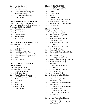- Lot 8. Napkins (Set of 2)
- Lot 9. Any Garment with added Embroidery
- Lot 10. Any Home Furnishing with added Embroidery
- Lot 11. Silk Ribbon Embroidery
- Lot 12. Not Specified

#### **CLASS 5 – MACHINE EMBROIDERY**

Articles may either be purchased or homemade with added machine embroidery.

- Premiums: \$3.00, \$2.00, \$1.00
- Lot 1. Adult Garment
- Lot 2. Any Accessory
- Lot 3. Any Home Furnishing
- Lot 4. Youth Garment
- Lot 5. Infant Garment
- Lot 6. Not Specified

#### **CLASS 6 – COUNTED CROSSTITCH**

Premiums: \$3.00, \$2.00, \$1.00

- Lot 1. Doily
- Lot 2. Home Accessory
- Lot 3. Tablecloth
- Lot 4. Wall Hanging/Bell Pull
- Lot 5. Framed Picture (8x10 or smaller)
- Lot 6. Framed Picture (larger than 8x10)
- Lot 7. Pillow
- Lot 8. Not Specified

#### **CLASS 7 – MISCELLANEOUS NEEDLWORK**

Candle wicking, tatting, etc. Premiums: \$3.00, \$2.00, \$1.00

- Lot 1. Picture/Wall Hanging
- Lot 2. Doily Table Runner
- Lot 3. Adult Article of Clothing
- Lot 4. Infant/Child Article of Clothing
- Lot 5. Afghan
- Lot 6. Tablecloth
- Lot 7. Pillow
- Lot 8. Penny Rug
- Lot 9. Punch Needle
- Lot 10. Not Specified

#### **CLASS 8 – HARDANGER**

- Premiums: \$3.00, \$2.00, \$1.00
- Lot 1. Picture/Wall Hanging
- Lot 2. Doily
- Lot 3. Table Runner
- Lot 4. Pillow
- Lot 5. Christmas Item (Not Picture or Wall Hanging)
- Lot 6. Adult Article of Clothing
- Lot 7. Infant Child Article of Clothing
- Lot 8. Not Specified

#### **CLASS 9 – QUILTS**

King, Queen, Full, and Twin

- Premiums: \$5.00, \$4.00, \$3.00
- Lot 1. Appliqued, Hand Quilted by Exhibitor
- Lot 2. Appliqued, Hand Quilted by Someone Else
- Lot 3. Appliqued, Machine Quilted by Exhibitor
- Lot 4. Appliqued, Machine Quilted by Someone Else
- Lot 5. Appliqued, Yarn Tied
- Lot 6. Appliqued & Pieced, Hand Quilted by Exhibitor
- Lot 7. Appliqued & Pieced, Quilted by Someone Else
- Lot 8. Pieced, Hand Quilted by Exhibitor
- Lot 9. Pieced, Hand Quilted by Someone Else
- Lot 10. Pieced, Machine Quilted by Exhibitor
- Lot 11. Pieced, Machine Quilted by Someone Else
- Lot 12. Pieced, Yarn Tied
- Lot 13. Embroidered, Hand Quilted by Exhibitor
- Lot 14. Embroidered, Hand Quilted by Someone Else
- Lot 15. Embroidered, Machine Quilted by Exhibitor
- Lot 16. Embroidered, Machine Quilted by Someone Else
- Lot 17. Embroidered, Yarn Tied
- Lot 18. Paper Pieced, Hand Quilted by Exhibitor
- Lot 19. Paper Pieced, Hand Quilted by Someone Else
- Lot 20. Paper Pieced, Machine Quilted by Exhibitor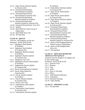Lot 21. Paper Pieced, Machine Quilted by Someone Else

- Lot 22. Purchased Printed Panel, Hand Quilted by Exhibitor
- Lot 23. Purchased Printed Panel, Hand Quilted by Someone Else
- Lot 24. Purchased Printed Panel, Machine Quilted by Exhibitor
- Lot 25. Purchased Printed Panel, Machine Quilted by Someone Else
- Lot 26. Purchased Printed Panel, Yarn Tied
- Lot 27. Quillow
- Lot 28. Quilt Made by Church Group or **Organization**
- Lot 29. Quilt Made from a Kit
- Lot 30. Not Specified

#### **CLASS 10 - QUILTS**

Crib size, wall hanging, and lap size.

- Premiums: \$4.00, \$3.00, \$2.00
- Lot 1. Appliqued, Hand Quilted by Exhibitor
- Lot 2. Appliqued, Hand Quilted by Someone Else
- Lot 3. Appliqued, Machine Quilted by Exhibitor
- Lot 4. Appliqued, Machine Quilted by Someone Else
- Lot 5. Appliqued, Yarn Tied
- Lot 6. Appliqued & Pieced, Hand Quilted by Exhibitor
- Lot 7. Appliqued & Pieced, Quilted by Someone Else
- Lot 8. Pieced, Hand Quilted by Exhibitor
- Lot 9. Pieced, Hand Quilted by Someone Else
- Lot 10. Pieced, Machine Quilted by Exhibitor
- Lot 11. Pieced, Machine Quilted by Someone Else
- Lot 12. Pieced, Yarn Tied
- Lot 13. Embroidered, Hand Quilted by Exhibitor
- Lot 14. Embroidered, Hand Quilted by Someone Else
- Lot 15. Embroidered, Machine Quilted

by Exhibitor

- Lot 16. Embroidered, Machine Quilted by Someone Else
- Lot 17. Paper Pieced, Hand Quilted by Exhibitor
- Lot 18. Paper Pieced, Hand Quilted by Someone Else
- Lot 19. Paper Pieced, Machine Quilted by Exhibitor
- Lot 20. Paper Pieced, Machine Quilted by Someone Else
- Lot 21. Purchased Printed Panel, Hand Quilted by Exhibitor
- Lot 22. Purchased Printed Panel, Hand Quilted by Someone Else
- Lot 23. Purchased Printed Panel, Machine Quilted by Exhibitor
- Lot 24. Purchased Printed Panel, Machine Quilted by Someone Else
- Lot 25. Quilt or Wall Hanging Made by Church Group or Organization
- Lot 26. Quilt or Wall Hanging Made from a Kit
- Lot 27. Not Specified

#### **CLASS 11 – QUILTED OR PIECED ARTICLES NOT QUILTS**

Garments must be brought in on hangers and in clear, plastic bags.

- Premiums: \$3.00, \$2.00, \$1.00
- Lot 1. Jacket & Vests
- Lot 2. Bottoms
- Lot 3. Tops
- Lot 4. Jacket
- Lot 5. Purse or Tote Bag
- Lot 6. Pillow
- Lot 7. Table Runner/Tablecloth
- Lot 8. Centerpiece
- Lot 9. Christmas Stocking
- Lot 10. Other Holiday

#### **CLASS 12 – SPINNING CLASS**

Lot 1. Not Specified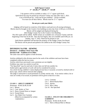#### **Quilt Square Contest 1 st - \$25.00, 2nd - \$20.00, 3rd - \$15.00**

---------------------------------------------------------------------------------------------------------------------

3 fat quarters will be available to make a  $12\frac{1}{2}$ " square quilt block. Quilt block kits may be picked up at Kasson Variety any time after June 1, 2021. Cost is \$10.00 per kit. Limit one kit per exhibitor – 20 kits available. You must use all three fabrics. Blocks must be 12 1/2" square.

#### **Do not pre-wash your fabric.**

Judging will be based on creativity of the fabrics used and over all sewing techniques. Blocks must be brought to the Creative Arts building on entry day from 12:00 p.m. to 8:00 p.m. Blocks will be judged and displayed during the

2022 Dodge County Fair in the Creative Arts Building.

The 2021 quilt will be raffled. Raffle tickets are available now at Kasson Variety until the beginning of the Fair for \$1.00. Once the Fair begins, they are available until 6:00 p.m. on Sunday, July 17, 2022. Need not be present to win.

Quilt blocks submitted will become the property of the Dodge County Fair Board. The blocks will be pieced and quilted to be raffled at the 2023 Dodge County Fair.

# **DIVISION F & FSR – SEWING**

**Division F – Exhibitor 18-65 Years Old**

**Division FSR – Exhibitor 65 & Older**

The same class and lot applies to both divisions.

Articles exhibited in this division must be the work of the exhibitor and must have been completed within the last two years.

Articles which have previously won a premium are not eligible.

Exhibitor may enter two entries in each lot.

"Not Specified" may be used only if entry does not fall into another lot.

Soiled and/or aged articles of work will not be considered for prizes.

Any article having exhibitor's name displayed must have it securely covered by stitched cloth or heavy tape, which will be removed after judging.

The judge is instructed to award premiums to worthy articles only. If no entries within a lot or class are worthy of an award, no premium will be given in that lot or class.

#### **CLASS 1 – ADULT GARMENT**

Premiums: \$3.00, \$2.00, \$1.00

- Lot 1. Blouse
- Lot 2. Coat, Jacket, or Vest
- Lot 3. Dress, Formal Dress or Jumper
- Lot 4. Formal Dress
- Lot 5. Any Made Over Garment (Must be accompanied by written explanation.)
- Lot 6. Costume Lot 7. Shorts/Slacks/Skirt Lot 8. Aprons Lot 9. Men's Shirt Lot 10. Not Specified

# **CLASS 2 – INFANT OR CHILDREN'S GARMENT**

Premiums: \$3.00, \$2.00, \$1.00 Lot 1. Shirt or Blouse/Shirt or Blouse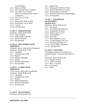with Additions

- Lot 2. Pajamas or Robe
- Lot 3. Dress, Formal Dress or Jumper
- Lot 4. Any Made Over Garment (Must be accompanied by written explanation.)
- Lot 5. Vest, Coat, or Jacket
- Lot 6. Apron
- Lot 7. Pants, Short, Skort, or Skirt
- Lot 8. Hat, Bonnet, Cap, or Beret
- Lot 9. Costume
- Lot 10. Not Specified

#### **CLASS 3 – SERGED ITEMS**

Premiums: \$3.00, \$2.00, \$1.00 Lot 1. Adult Garment Lot 2. Infant/Child's Garment Lot 3. Article for Home Lot 4. Not Specified

# **CLASS 4 – SWEATSHIRT WITH ADDITIONS**

- Sweatshirt may be ready made or handmade. Premiums: \$3.00, \$2.00, \$1.00
- Lot 1. Appliqued
- Lot 2. Counted Cross Stitch
- Lot 3. Painted
- Lot 4. Ribbon Embroidery
- Lot 5. Quilted
- Lot 6. Machine Embroidery
- Lot 7. Not Specified

#### **CLASS 5 – T-SHIRT WITH ADDITIONS**

T-shirt may be ready made or handmade. Premiums: \$3.00, \$2.00, \$1.00 Lot 1. Appliqued Lot 2. Counted Cross Stitch

- Lot 3. Painted
- Lot 4. Ribbon Embroidery
- Lot 5. Machine Embroidery
- Lot 6. Not Specified
- Lot 1. Stuffed Toy
- Lot 2. Homemade Doll With Clothes
- Lot 3. Doll Clothes/Doll Accessories
- Lot 4. Barrettes/Hair Accessories
- Lot 5. Fanny Pack/Purse/Tote Bag/Handbag
- Lot 6. Not Specified

# **CLASS 7 – HOUSEHOLD ACCESSORIES**

# **Machine Sewn**

- Premiums: \$3.00, \$2.00, \$1.00
- Lot 1. Day Apron
- Lot 2. Oven Mitts/Pot Holders (2)
- Lot 3. Refrigerator Novelties
- Lot 4. Basket Liner or Cover
- Lot 5. Tissue Holders
- Lot 6. Door Stop
- Lot 7. Small Appliance Cover
- Lot 8. Covered Hangers (Set of 2)
- Lot 9. Hot Plate Mats (Set of 2)
- Lot 10. Tissue Holders (Kleenex)
- Lot 14. Not Specified

# **CLASS 8 – COSTUMES**

Not judged on quality of sewing, but on intended purpose. Give brief description of use.

- Premiums: \$3.00, \$2.00, \$1.00
- Lot 1. Period Costumes
- Lot 2. Ladies Costumes
- Lot 3. Men's Costumes
- Lot 4. Accessories
- Lot 5. Other

#### **CLASS 6 – ACCESSORIES**

Premiums: \$3.00, \$2.00, \$1.00

# **DIVISION G & GSR**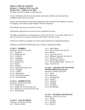# **ADULT ARTS & CRAFTS Division G – Exhibitor 18-65 Years Old Division GSR – Exhibitor 65 & Older**

The same class and lot applies to both divisions.

Articles exhibited in this division must be the work of the exhibitor and must have been completed within the last two years.

Pictures must be framed or matted and arrangements must be made by the exhibitor to provide for hanging. Items without proper hangers will not be displayed.

The exhibitor may enter two entries in each lot.

Soiled and/or aged articles of work will not be considered for prizes.

The judge is instructed to award premiums to worthy articles only. If no entries within a lot or class are worthy of an award, no premium will be given in that lot or class.

Articles of a collection or display may not be entered separately for individual premiums.

Exhibitors of collections should bring a case in which to display their hobby.

#### **CLASS 1 – HOBBIES**

Premiums: \$2.00, \$1.50, \$1.00 Lot 1. Dough Art Lot 2. Greeting Cards Lot 3. Tin Punch Lot 4. Calligraphy Lot 5. Centerpiece Lot 6. Stained Glass Lot 7. Basket Lot 8. Ceramics Lot 9. Things Made From a Kit Lot 10. Stamping Lot 11. Candles Lot 12. Beaded Item Lot 13. Decorated Garments Lot 14. Decorated Hats

#### **CLASS 2 – HOBBIES/TOYS**

Premiums: \$2.00, \$1.50, \$1.00 Lot 1. Doll Furniture Lot 2. Model Car or Truck From a Kit Lot 3. Model Car or Truck Not From a Kit Lot 4. Not Specified

#### **CLASS 3 – COLLECTIBLES**

Premiums: \$2.00, \$1.50, \$1.00 Lot 1. Rocks or Shells

- Lot 2. Match Books
- Lot 3. Pens or Pencils, Not Over 20
- Lot 4. Buttons
- Lot 5. Caps, Not Over 10
- Lot 6. Miniature Figurines, Not Over 12
- Lot 7. Bottles, Not Over 6
- Lot 8. Salt & Pepper Shakers
- Lot 9. Not Specified (Small Not over 12,
- Large Not Over 6)

#### **CLASS 4 – HOLIDAY DECORATIONS OR ORNAMENTS (Not Sewn)**

Premiums: \$2.00, \$1.50, \$1.00

- Lot 1. Easter
- Lot 2. Halloween
- Lot 3. Thanksgiving
- Lot 4. Patriotic
- Lot 5. Valentine
- Lot 6. Wedding
- Lot 7. Christmas
- Lot 8. Not Specified

#### **CLASS 5 – BEADING OR JEWELRY**

Premiums: \$2.00, \$1.50, \$1.00 Lot 1. Rosary Lot 2. Earrings Lot 3. Necklace Lot 4. Bracelet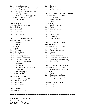- Lot 5. Jewelry Ensemble
- Lot 6. Jewelry Made With Wooden Beads Made by Exhibitor
- Lot 7. Jewelry Made With Glass Beads Made by Exhibitor
- Lot 8. Metal, Gold, Silver, Copper, Etc.
- Lot 9. Precious Metal Clay
- Lot 10. Not Specified

#### **CLASS 6 – RUGS**

Premiums: \$3.00, \$2.00, \$1.00 Lot 1. Braided Lot 2. Crocheted Lot 3. Latch Hook Lot 4. Woven

Lot 5. Not Specified

#### **CLASS 7 – WOOD CRAFTING**

- Premiums: \$3.00, \$2.00, \$1.00
- Lot 1. Bird House
- Lot 2. Carving
- Lot 3. Clocks
- Lot 4. Shelf
- Lot 5. Furniture
- Lot 6. Toy or Game
- Lot 7. Wood Burning
- Lot 8. Refinishing Furniture
- Lot 9. Furniture Handcrafted
- Lot 10. Doll House From Kit
- Lot 11. Doll House Handcrafted
- Lot 12. Bird Feeders
- Lot 13. Wood Inlay
- Lot 14. Jig Saw, Band Saw, Scroll Saw
- Lot 15. Chain Saw
- Lot 16. Anything From Kit
- Lot 17. Not Specified

#### **CLASS 8 – LEATHER**

Premiums: \$3.00, \$2.00, \$1.00 Lot 1. Article of Clothing Lot 2. Accessory Lot 3. Not Specified

# **CLASS 9 – FLEECE**

Premiums: \$1.50, \$1.00, \$0.50

Lot 1. Blankets

- Lot 2. Pillow
- Lot 3. Article of Clothing

# **CLASS 10 – DECORATING PAINTING**

- Premiums: \$3.00, \$2.00, \$1.00
- Lot 1. Useful Boxes Lot 2. Plates & Plaques Lot 3. Trays
- Lot 4. Shelves
- Lot 5. Metal & Tin Items
- Lot 6. Rocks
- Lot 7. Other Wood Items
- Lot 8. Clocks
- Lot 9. Toys
- Lot 10. Bird Feeders
- Lot 11. Furniture
- Lot 12. Not Specified

#### **CLASS 11 – SILK FLORAL ARRANGING**

- Premiums: \$2.00, \$1.50, \$1.00
- Lot 1. Centerpiece
- Lot 2. Corsage/Boutonniere
- Lot 3. Wreath
- Lot 4. Swag
- Lot 5. Holiday Centerpiece
- Lot 6. Other Occasion Centerpiece (Wedding, Graduation, Etc.)
- Lot 7. Not Specified

#### **CLASS 12 – SCRAPBOOKING**

Premiums: \$2.00, \$1.50, \$1.00 Lot 1. Scrapbook Page Framed or Unframed Lot 2. Cards

- Lot 3. Traditional Scrapbook
- Lot 4. Book Bound Scrapbook
- Lot 5. Miscellaneous Paper Crafts

#### **Class 13 – BARN QUILT**

Lot 1.  $2' \times 2'$ Lot 2.  $4'$  x  $4'$ 

**----------------------------------------------------------------------------------------------------**

**DIVISION H – JUNIOR** Ages 12 & Younger **DIVISION I – YOUTH**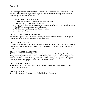Each young person who exhibits will get a participation ribbon which has a premium of \$1.00 per entry. Because of the large volume of junior exhibits, please make every effort to use the following guidelines with your entries.

- 1. All entries must be made by the child.
- 2. Entries must have been completed within the last 12 months.
- 3. Exhibitor may enter two entries in each class.
- 4. Because of the large number of Lego entries, Legos must be secured to a board, not larger than 20"x20" or arranged attractively in a box.
- 5. All pictures or wall hangings must be ready to hang.
- 6. Limit two per class entries.

# **CLASS 1 – THINGS MADE FROM A KIT**

Kit includes Legos, K-Nex, Constructs, Models (cars, trucks, aircraft, rockets), Wall Hangings, Pillows, Framed Needlework, Pictures, and Bead Buddies.

# **CLASS 2 – COLLECTIONS**

Collections include: Rocks or Shells, Match Books, Pens or Pencils (10-25), Miniature Figurines (Not Over 12), Caps (Not Over 10), Collectible Cards (Must be displayed in a book.), Stamps, Buttons, Etc.

# **CLASS 3 – CREATIVE ACTIVITIES**

These items must not be from a kit. Creative activities would include: Dolls, Wood Burning, Toys, Ornaments, and Decorations for Special Holidays, Wall Hangings, Pillows, Plaques, Hair Accessories, Plastic Canvas, Greeting Cards (Stenciled or Drawn), Jewelry, Sand Art, Puppets, Candles, Flowers, Photography, Fleece Tied Blankets or Pillows.

# **CLASS 4 – HAND CRAFTS**

This class would include Embroidery, Crochet, Knitting, Cross Stitch, Leatherwork, Ribbon Embroidery, and Weaving.

#### **CLASS 5- SEWING**

This would include any Sewn Garment, Quilt, Blanket, or Accessory.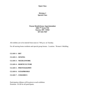#### **Division J Special Class**

#### **Wayne Hendrickson, Superintendent 1004 7th Street NW Kasson, MN 55944 507-634-7047**

All exhibits are to be entered from noon to 7:00 p.m. on Tuesday.

For all nursing home residents and special group homes. Location: Women's Building

**CLASS 1– ART**

**CLASS 2 – SEWING**

**CLASS 3 – NEEDLEWORK**

- **CLASS 4 – HORTICULTURE**
- **CLASS 5 – PHOTOGRAPHY**
- **CLASS 6 – SCRAPBOOKS**
- **CLASS 7 – CERAMICS**

Participation ribbons will be given to each exhibitor. Premium: \$1.00 for all participants.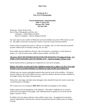#### **Division K & L Fine Arts & Photography**

#### **Wayne Hendrickson, Superintendent 1004 7th Street NW Kasson, MN 55944 507-634-7047**

Premiums: \$3.00, \$2.00, \$1.00 Best of Show Photography and Fine Arts: Champion – Purple Ribbon & \$5.00 Reserve Champion – Reserve Ribbon & \$3.00

Fair entry open to any resident of Minnesota and each exhibitor may enter TWO entries in each lot. The right is reserved to accept fewer entries in each lot if space becomes limited.

Entries will be accepted from noon to 7:00 p.m. on Tuesday, July 13, 2021 and must be picked up after exhibit closes on Sunday evening, July 18, 2021.

Each exhibit must be labeled on the back side of the photos or paintings or on the bottom of pottery, etc. with the artists name, address, phone number, and short title.

#### **All entries MUST BE FRAMED OR MATTED FOR HANGING ON pegboard hooks. Use WIRE LOOP HANGERS with EYE HOOKS, ETC. Taped on hangers will not work.**

Poorly framed entries or paintings not completely dry will not be accepted.

#### **BRING SEVERAL EXTRA RETURN ADDRESS MAILING LABELS TO PUT ON FAIR ENTRY TAGS & ENTRY BOOKS TO SPEED UP THE ENTRY DAY PROCESS**.

Exhibits may not contain copyrighted material other than the work of the exhibitor. All entries must be original work of the exhibits *(no kits or paint by number)* and have not been exhibited at the Dodge County Fair Open Class previously.

Watercolors, drawings, and other easily damaged works should be frame din wood or metal and covered by glass or Plexiglas.

The County Fair or its volunteers **ARE NOT** held liable for damaged or lost exhibits.

Subject matter must be appropriate to all audiences. The right to withhold any art award is reserved if in the opinion of the judge, work submitted does not qualify for an award and the judges' decision is final.

If exhibit is for sale, please indicate on the exhibit at entry time. Arrangements for purchase must be made directly with the artist, and may be picked up after the exhibit closes on Sunday evening.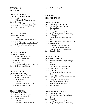# **CLASS 1 – YOUTH ART (9 YEARS AND YOUNGER)**

- Lot 1. Painting (Oil, Acrylic, Watercolor, etc.) Lot 2. Drawing (Pen & Ink, Charcoal, Pencil, etc.)
- Lot 3. Sculpture, Porcelain, Pottery
- Lot 4. Not Specified

#### **CLASS 2- YOUTH ART (AGES 10-13 YEARS)**

- Lot 1. Painting (Oil, Acrylic, Watercolor, etc.)
- Lot 2. Drawing (Pen & Ink, Charcoal, Pencil, etc.) Lot 3. Sculpture, Porcelain, Pottery
- 
- Lot 4. Not Specified

## **CLASS 3 – YOUTH ART (AGES 14-18 YEARS)**

- Lot 1. Painting (Oil & Acrylic)
- Lot 2. Painting (Watercolor)
- Lot 3. Mixed Media
- Lot 4. Drawing (Pen & Ink, Charcoal, Pencil, Etc.) Lot 5. Sculpture (Any Media)

#### **CLASS 4 – ADULT (19 YEARS & OLDER)**

- Lot 1. Painting (Oil & Acrylic)
- Lot 2. Painting (Watercolor)
- Lot 3. Mixed Media
- Lot 4. Drawing (Pen & Ink, Charcoal, Pencil, Etc.)
- Lot 5. Sculpture (Any Media)

#### **CLASS 5 – SENIOR (65 YEARS & OLDER)**

- Lot 1. Painting (Oil & Acrylic)
- Lot 2. Painting (Watercolor)
- Lot 3. Mixed Media
- Lot 4. Drawing (Pen & Ink, Charcoal, Pencil, Etc.)

Lot 5. Sculpture (Any Media)

# **DIVISION L PHOTOGRAPHY**

#### **CLASS 1 – YOUTH (18 YEARS AND YOUNGER)**

- Lot 1. Abstract (Patterns, Shapes, Designs, Etc.)
- Lot 2. Animal (Pets, Wildlife, Livestock, Etc.)
- Lot 3. People (Kids, Sports, Action, Etc.)
- Lot 4. Landscape (Mountains, Seashores, Sunsets, Etc.)
- Lot 5. Nature (Flowers, Trees, Insects, Etc.)
- Lot 6. Miscellaneous
- Lot 7. Group of 3 Related Subjects. No Larger Than 4x6 Photos, Mounted in One Frame or Mat.
- Lot 8. Black & White

# **CLASS 2 – ADULT**

#### **(19 YEARS – 64 YEARS)**

- Lot 1. Abstract (Patterns, Shapes, Designs, Etc.)
- Lot 2. Animal (Pets, Wildlife, Livestock, Etc.)
- Lot 3. People (Kids, Sports, Action, Etc.)
- Lot 4. Landscape (Mountains, Seashores, Sunsets, Etc.)
- Lot 5. Nature (Flowers, Trees, Insects, Etc.)
- Lot 6. Miscellaneous
- Lot 7. Group of 3 Related Subjects. No Larger Than 4x6 Photos, Mounted in One Frame or Mat.
- Lot 8. Black & White

#### **CLASS 3 – SENIOR ADULT (65 YEARS & OLDER)**

- Lot 1. Abstract (Patterns, Shapes, Designs, Etc.)
- Lot 2. Animal
	- (Pets, Wildlife, Livestock, Etc.)
- Lot 3. People (Kids, Sports, Action, Etc.)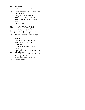- Lot 4. Landscape (Mountains, Seashores, Sunsets, Etc.)
- Lot 5. Nature (Flowers, Trees, Insects, Etc.)
- Lot 6. Miscellaneous
- Lot 7. Group of 3 Photos of Related Subjects. No Larger Than 4x6 Photos, Mounted in One Frame or Mat.
- Lot 8. Black & White

# **CLASS 4 – ADVANCED ADULT**

#### **(Anyone with experience or Post-Secondary training in the art-related field should enter this class)**

- Lot 1. Abstract (Patterns, Shapes, Designs, Etc.)
- Lot 2. Animal (Pets, Wildlife, Livestock, Etc.)
- Lot 3. People (Kids, Sports, Action, Etc.)
- Lot 4. Landscape (Mountains, Seashores, Sunsets, Etc.)
- Lot 5. Nature (Flowers, Trees, Insects, Etc.)
- Lot 6. Miscellaneous
- Lot 7. Group of 3 Photos of Related Subjects. No Larger Than 4x6 Photos, Mounted in One Frame or Mat.
- Lot 8. Black & White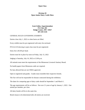#### **Division M Open Junior Dairy Cattle Show**

#### **Scott Schley, Superintendent P.O. Box 281 Dodge Center, MN 55927 507-259-1145**

#### GENERAL RULES GOVERNING EXHIBITS

Entries close July 1, 2022 or when barns are filled.

Every exhibit must be pre-registered with entry fee enclosed.

FFA & 4-H showing in open class must be pre-registered.

Entry fee is \$5.00 per head.

Entries must be in place by noon on Friday, July 15, 2022

Judging is Saturday, July 16, 2022 at 12:00 p.m.

All animals must meet the requirements of the Minnesota Livestock Sanitary Board.

No health papers from Minnesota cattle are required.

No fans allowed that are not OSHA approved.

Open to registered and grades. Grades must resemble their respective breeds.

The Fair will not be responsible for disease contracted during the exhibition.

The dates for computing ages of dairy cattle should be September 1 and March 1.

The age requirements will be as follows: Not over 21 years of age by January 1, 2022. One animal per member, per class.

All dairy breeds will be in the same lots.

Breed classes to be determined after all entries are received.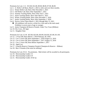Premiums for Lots 1-11: \$15.00, \$12.00, \$9.00, \$8.00, \$7.00, \$6.00.

- Lot 1. Jr. Heifer Calf Born, March 1, 2022 or after and over three months.
- Lot 2. Winter Heifer Calf, Born After December 1, 2021
- Lot 3. Fall Heifer Calf, Born After September 1, 2021
- Lot 4. Summer Yearling Heifer, Born After June 1, 2021
- Lot 5. Junior Yearling Heifer, Born After March 1, 2021
- Lot 6. Winter Yearling Heifer, Born After December 1, 2020
- Lot 7. Senior Yearling Heifer, Born After September 1, 2020
- Lot 8. Novice Calves, Born March 1, 2021 through May 13, 2021
	- All exhibitors will receive a ticket for a free malt at the malt stand. Exhibitor is seven years of age or younger.
- Lot 9. Junior Champion & Reserve Female, Under Two Years (Ribbon)
- Lot 10. Dry Cows, All Ages
- Lot 11. Daughter Dam

Premiums for Lots 12-18: \$25.00, \$22.00, \$18.00, \$16.00, \$13.00, \$11.00.

- Lot 12. 2-Year-Old, Born March 1, 2019-February 28, 2020
- Lot 13. Cow 3 Years Old, Born September 1, 2018-August 31, 2019
- Lot 14. Cow 4 Years Old, Born September 1, 2017-August 31, 2018
- Lot 15. Cow 5 Years Old, Born Before September 1, 2017
- Lot 16. Aged Cow
- Lot 17. Grand & Reserve Champion Female (Champion & Reserve Ribbon)
- Lot 18. Best 3 Females (One must be milking.)

Premiums for Lots 19-21: No premiums. Malt tickets will be awarded to all participants.

- Lot 19. Showmanship Grades 3-5
- Lot 20. Showmanship Grades 6-9
- Lot 21. Showmanship Grades 10 & Up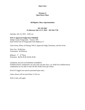#### **Division N Open Horse Show**

#### **Jill Bigelow-Shea, Superintendent**

#### **507-259-3967 Or Between July 13-17, 2022 – 507-634-7736**

Saturday, July 16, 2022 – 8:00 a.m.

#### **WSCA Approved Judge Pam Whitfield**

Dodge County Fairgrounds – Kasson, MN Enter North Gate of Fairgrounds from Highway 57

Great Arena, Plenty of Parking, WSCA Approved Judge, Premiums, and Fair Food

Entry Fee: \$3.00/class Assessment: \$3.00/horse

Ribbons:  $1<sup>st</sup> - 6<sup>th</sup>$  Place Premiums: \$6.00, \$5.00, \$4.00, \$3.00

#### GENERAL RULES GOVERNING EXHIBITS

Exhibitors/horse combination can only enter one like class, e.g. Walk/Trot exhibitor/horse combination are not able to enter the like Walk/Trot/Lope classes.

Proof of Coggins test must be presented upon entry.

Game classes will not start before 11:30 a.m.

WSCA rules will apply.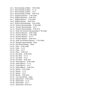- Lot 1. Showmanship at Halter  $10 \&$  Under
- Lot 2. Showmanship at Halter  $-11-13$
- Lot 3. Showmanship at Halter 14-17
- Lot 4. Showmanship at Halter  $18 \& Qver$
- Lot 5. English Equitation  $-17 \&$  Under
- Lot 6. English Equitation  $-18 \& Qver$
- Lot 7. English Pleasure  $17 \&$  Under
- Lot 8. English Pleasure  $18 \& Qver$
- Lot 9. Western Horsemanship  $-10 \&$  Under
- Lot 10. Western Horsemanship 13 & Under
- Lot 11. Western Horsemanship 14-17
- Lot 12. Western Horsemanship 18 & Over
- Lot 13. Walk Trot Western Horsemanship 17 & Under
- Lot 14. Western Pleasure 10 & Under
- Lot 15. Western Pleasure 13 & Under
- Lot 16. Western Pleasure 14–17
- Lot 17. Western Pleasure 18 & Over
- Lot 18. Walk Trot Western Pleasure 17 & Under
- Lot 19. Bareback Horsemanship Open
- Lot 20. One Barrel Pennant Open
- Lot 21. Poles  $-10 \&$  Under
- Lot 22. Poles 11-13
- Lot 23. Poles 14-17
- Lot 24. Poles  $-18 & \text{Over}$
- Lot 25. Key Hole  $10 \&$  Under
- Lot 26. Key Hole  $-11-13$
- Lot 27. Key Hole  $-14-17$
- Lot 28. Key Hole  $18 \& Qver$
- Lot 29. Jump Figure  $8 10 \&$  Under
- Lot 30. Jump Figure  $8 11 13$
- Lot 31. Jump Figure  $8 14 17$
- Lot 32. Jump Figure  $8 18 \& Qver$
- Lot 33. Barrels 10  $&$  Under
- Lot 34. Barrels 11-13
- Lot 35. Barrels 14-17
- Lot 36. Barrels  $18 \& Qver$
- Lot 37. 4-in-Line Barrels Open
- Lot 38. Speed Dash  $-10 \&$  Under
- Lot 39. Speed Dash  $-11-13$
- Lot 40. Speed Dash  $-14-17$
- Lot 41. Speed Dash -18 & Over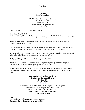#### **Division P Open Rabbit Show**

#### **Madelyn Beckstrom, Superintendent 307 6th Avenue NW Kasson, MN 55944 Email: mbeck2001@charter.net 507-273-5948**

#### GENERAL RULES GOVERNING EXHIBITS

Entry Day: July 16, 2022 Mail-In Entries to Madelyn Beckstrom at address above by July 13, 2022. These entries will get a premium. You may enter the day of the show as well.

This is an official ARBA Sanctioned show. ARBA Convention will be in Reno, Nevada, October 290November 2, 2022

Only purebred rabbits of breeds recognized by the ARBA may be exhibited. Purebred rabbits need not be registered or have paper, but must be representative to their own breed.

The standards of the American Rabbit and Cavy Breeders Association will govern in judging of all breeds. All rabbits must be permanently ear marked, left ear.

#### **Judging will begin at 9:00 a.m. on Saturday, July 16, 2022.**

No rabbit will be awarded a first place unless it is positively worthy of same in the judge's opinion. If only one entry, second place premium will be paid.

Junior rabbits will be defined as those less than 6 months of age. Intermediate rabbits are 6-8 months of age. Breeds maturing under 10 lbs., have no intermediate class. They are Jr. or Sr. only.

#### **American Rabbit Breeders Association Eric Stewart, Executive Director PO Box 400 Knox, PA 16232**

[www.arba.net](http://www.arba.net/) Membership Dues: Individual: \$20.00 per year, \$50.00 for 3 years Husband/Wife \$30.00 per year, \$75.00 for 3 years Youth \$12.00 per year, \$30.00 for 3 Years. **ARBA registrar: Madelyn Beckstrom Judge: Mike Avesing**

Awards: **Best in Show: Madelyn Beckstrom/Alissa Kruger Reserve in Show: Rochester Area Rabbit Club**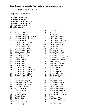#### **Enter class number, lot number, breed and color, and tattoo on entry form.**

Premiums: 1<sup>st</sup> \$3.00, 2<sup>nd</sup> \$2.25, 3<sup>rd</sup> \$1.75

#### **Entry fee is \$1.00 per rabbit.**

| <b>Class 110 – Senior Buck</b>       |
|--------------------------------------|
| <b>Class 120 – Senior Doe</b>        |
| <b>Class 130 – Intermediate Buck</b> |
| <b>Class 140 – Intermediate Doe</b>  |
| <b>Class 150 – Junior Buck</b>       |
| <b>Class 160 – Junior Doe</b>        |

#### Lot #s

- 1. American Blue
- 2. American White
- 3. American Fuzzy Lop Broken
- 4. American Fuzzy Lop Solid
- 5. American Sable
- 6. English Angora Colored
- 7. English Angora White
- 8. French Angora Colored
- 9. French Angora White
- 10. French Angora Broken
- 11. Giant Angora White
- 12. Satin Angora Colored
- 13. Satin Angora White
- 14. Belgian Hare
- 15. Beveran Black
- 16. Beveran Blue
- 17. Beveran White
- 18. Blanc De Hotot
- 19. Britannia Petite Black
- 20. Britannia Petite Black Otter
- 21. Britannia Petite Broken
- 22. Britannia Petite- Chestnut
- 23. Britannia Petite REW
- 24. Britannia Petite Sable Marten
- 25. Californian
- 26. Champagne D'Argent
- 27. Checkered Giant Black
- 28. Checkered Giant Blue
- 29. American Chinchilla
- 30. Standard Chinchilla
- 31. Giant Chinchilla
- 32. Cinnamon
- 33. Crème D'Argent
- 34. Argente Bruns
- 35. Dutch Blue
- 36. Dutch Chin
- 37. Dutch Chocolate
- 38. Dutch Gray
- 39. Dutch Steel
- 40. Dutch Tort
- 41. Dwarf Hotot
- 42. English Spot Black
- 43. English Spot Blue
- 44. English Spot Chocolate
- 45. English Spot Gold
- 46. English Spot Gray
- 47. English Spot Steel
- 48. English Spot Tort
- 49. Flemish Giant Black
- 50. Flemish Giant Blue
- 51. Flemish Giant Fawn
- 52. Flemish Giant Light Gray
- 53. Flemish Giant Sandy
- 54. Flemish Giant White
- 55. Florida White
- 56. Harlequin Japanese
- 57. Harlequin Magpie
- 58. Havana Black
- 59. Havana Blue
- 60. Havana Broken
- 61. Havana Chocolate
- 62. Himalayan Black
- 63. Himalayan Blue
- 64. Himalayan Chocolate
- 65. Himalayan Lilac
- 66. Holland Lop Broken
- 67. Holland Lop Solid
- 68. Jersey Wooly Agouti
- 69. Jersey Wooly AOV
- 70. Jersey Wooly Broken
- 71. Jersey Wooly Self
- 72. Jersey Wooly Tan Pattern
- 73. Lilac
- 74. Lion Head White
- 75. Lion Head Chocolate
- 76. Lion Head Seal
- 77. Lion Head Tort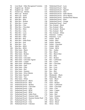| 78.          | Lion Head – Other Recognized Varieties |
|--------------|----------------------------------------|
| 79.          | English Lop - Broken                   |
| 80.          | English Lop – Solid                    |
| 81.          | French Lop – Broken                    |
| 82.          | Mini Lop – Broken                      |
| 83.          | Mini Lop - Solid                       |
| 84.          | Mini Rex - Black                       |
| 85.          | Mini Rex - Blue                        |
| 86.          | Mini Rex – Broken                      |
| 87.          | Mini $Rex - Castor$                    |
| 88.          | Mini Rex - Chin                        |
| 89.          | Mini Rex - Chocolate                   |
| 90.          | Mini Rex - Himi                        |
| 91.          | Mini Rex - Lilac                       |
| 92.          | Mini $Rex - Lynx$                      |
| 93.          | Mini Rex - Opal                        |
| 94.          | Mini Rex - Otter                       |
| 95.          | Mini Rex - Red                         |
| 96.          | Mini Rex - Sable Point                 |
| 97.          | Mini Rex - Seal                        |
| 98.          | Mini Rex - Tort                        |
| 99.          | Mini $Rex - BEW$                       |
| 100.         | Mini $Rex - REW$                       |
| 101.         | Mini Satin - Black                     |
| 102.         | Mini Satin - Blue                      |
| 103.         | Mini Satin – Broken                    |
| 104.         | Mini Satin - Chin                      |
| 105.         | Mini Satin - Chocolate                 |
|              |                                        |
| 106.<br>107. | Mini Satin – Chocolate Agouti          |
|              | Mini Satin – Copper                    |
| 108.         | Mini Satin - Himalayan                 |
| 109.         | Mini Satin - Opal                      |
| 110.         | Mini Satin – Otter<br>Mini Satin - Red |
| 111.         |                                        |
| 112.         | Mini Satin – Siamese                   |
| 113.         | Mini Satin – Silver Marten             |
| 114.         | Mini Satin - Squirrel                  |
| 115.         | Mini Satin - Tort                      |
| 116.         | Mini Satin – White                     |
| 117.         | Netherland Dwarf - Black               |
| 118.         | Netherland Dwarf - Blue                |
| 119.         | Netherland Dwarf - Broken              |
| 120.         | Netherland Dwarf – Chocolate           |
| 121.         | Netherland Dwarf - Lilac               |
| 122.         | Netherland Dwarf - BEW                 |
| 123.         | Netherland Dwarf - REW                 |
| 124.         | Netherland Dwarf - Sable Point         |
| 125.         | Netherland Dwarf - Siamese Sable       |
| 126.         | Netherland Dwarf – Siamese Smoke Pearl |
| 127.         | Netherland Dwarf - Tort                |
| 128.         | Netherland Dwarf - Chin                |
| 129.         | Netherland Dwarf - Chestnut            |

|   |      | 130. Netherland Dwarf – Lynx           |
|---|------|----------------------------------------|
|   | 131. | Netherland Dwarf - Opal                |
|   |      | 132. Netherland Dwarf - Squirrel       |
|   |      | 133. Netherland Dwarf - Otter          |
|   | 134. | Netherland Dwarf - Sable Marten        |
|   | 135. | Netherland Dwarf - Silver Marten       |
|   | 136. | Netherland Dwarf – Smoked Pearl Marten |
|   | 137. | Netherland Dwarf – Himi                |
|   |      | 138. Netherland Dwarf - Orange         |
|   | 139. | Netherland Dwarf – Steel               |
|   | 140. | New Zealand – Black                    |
|   | 141. | New Zealand - Blue                     |
|   | 142. | New Zealand – Broken                   |
|   | 143. | New Zealand – Red                      |
|   | 144. | New Zealand – White                    |
|   | 145. | Palomino – Golden                      |
|   | 146. | Palomino $-Lynx$                       |
|   | 147. | $Polish - Black$                       |
|   | 148. | $Polish - Blue$                        |
|   |      | 149. Polish – Broken                   |
|   |      | 150. Polish – Chocolate                |
|   |      | 151. $Polish - BEW$                    |
|   |      | 152. Polish – REW                      |
|   | 153. | $Rex - Amber$                          |
|   | 154. | $Rex - Black$                          |
|   | 155. | Rex - Black Otter                      |
|   | 156. | $Rex - Blue$                           |
|   | 157. | $Rex - Broken$                         |
|   | 158. | Rex - Californian                      |
|   | 159. | $Rex - Castor$                         |
|   |      | 160. Rex - Chocolate                   |
|   | 161. | $Rex$ – Lilac                          |
|   | 162. | $Rex - Lynx$                           |
|   | 163. | $Rex-Opal$                             |
|   | 164. | $Rex - Red$                            |
|   | 165. | $Rex - Sable$                          |
|   | 166. | Rhinlander - Black                     |
|   | 167. | Rhinlander - Blue                      |
|   | 168. | Satin - Black                          |
|   | 169. | Satin - Blue                           |
|   | 170. | Satin – Broken                         |
|   | 171. | Satin - Californian                    |
|   | 172. | Satin - Chocolate                      |
|   | 173. | Satin – Chin                           |
|   | 174. | $Satin-Copper$                         |
|   | 175. | Satin - Otter                          |
|   | 176. | Satin - Red                            |
|   | 177. | $Satin-Siamese$                        |
| l |      | 178. Satin – White                     |
|   |      | $170$ Silver Brown                     |

- 179. Silver Brown<br>180. Silver Black
- 180. Silver Black<br>181. Silver Fawn Silver – Fawn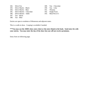182. Silver Fox 183. Silver Martin – Black 184. Silver Martin – Blue 185. Silver Marten – Chocolate 186. Silver Marten – Sable 187. Tan – Black

188. Tan – Blue

- 189. Tan Chocolate
- 190. Tan Lilac
- 191. Thrianta
- 192. Single Fryer
- 193. Meat Pen of 3

Entries are open to residents of Minnesota and adjacent states.

This is a walk-in show. Cooping is available if needed.

**\*\*\*You may use the ARBA show entry sheet or the entry blank in the book. Send entry fee with your entries. You may enter the day of the show but you will not receive premiums.**

Entry form on following page.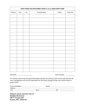| ENTRY FORM FOR OPEN RABBIT SHOW or use an ARBA ENTRY FORM |       |     |               |        |           |
|-----------------------------------------------------------|-------|-----|---------------|--------|-----------|
| Division                                                  | Class | Lot | Breed/Variety | Tattoo | Entry Fee |
|                                                           |       |     |               |        |           |
|                                                           |       |     |               |        |           |
|                                                           |       |     |               |        |           |
|                                                           |       |     |               |        |           |
|                                                           |       |     |               |        |           |
|                                                           |       |     |               |        |           |
|                                                           |       |     |               |        |           |
|                                                           |       |     |               |        |           |
|                                                           |       |     |               |        |           |
|                                                           |       |     |               |        |           |
|                                                           |       |     |               |        |           |
|                                                           |       |     |               |        |           |
|                                                           |       |     |               |        |           |
|                                                           |       |     |               |        |           |
|                                                           |       |     |               |        |           |
|                                                           |       |     |               |        |           |

Enclosed \_\_\_\_\_\_\_\_\_\_\_\_\_\_\_\_\_\_\_ Total Amount \_\_\_\_\_\_\_\_\_\_\_

It is hereby understood and agreed that these animals are entered at the owners risk and that the show management will not be responsible for the entries though all due care will be taken to protect them.

| Owner/Exhibitor |       | Email |
|-----------------|-------|-------|
| Address         |       |       |
| <b>City</b>     | State | Zip   |

**Mail pre-entries and entry fees to: Madelyn Beckstrom 306 7th Avenue NW Kasson, MN 55944-102**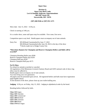#### **Division Q Open Class Beef Cattle Levi & Danielle Anderson, Superintendents 9031 80th Street SW Stewartville, MN 55976**

#### **(507) 460-9346 or (507) 951-1275**

Show date: July 15, 2022 – 6:30 p.m.

Check in starting at 3:00 p.m.

It is a trailer show, some stall space may be available. First come, first serve.

Competition open to any herd. Health papers must accompany out of state animals.

Entry Fee: \$35.00/head if postmarked by June 17, 2022 \$45.00/head if postmarked after June 18, 2022 to the day of the show \*Checks made out to Dodge County Fair.

#### **\*Showtimes Banners for Champion and Reserve Champion Heifers and Bulls will be awarded\***

Champion Breeding Heifer pays \$500 Reserve Champion Heifer pays \$250 Champion Bull pays \$250 Reserve Champion Bull pays \$175

#### **No Fit Show**

No refund for animals scratched or canceled.

All regulations of the Minnesota Livestock Sanitary Board and IAFE national code of show ring ethics must be adhered to.

Health papers must accompany out of state animals.

You must bring your own generators.

All papers must be presented upon arrival. All registered heifers and bulls must have registration paper/legible tattoos.

At the duration of the show, please clean up your trailer/stalling area.

**Judging**: 6:30 p.m. on Friday, July 15, 2022. Judging in alphabetical order by the breed.

Breeding heifers followed by bulls.

**Class 110** Angus **Class 120** Charolais **Class 130** Commercial **Class 140** Hereford **Class 150** Limousin **Class 160** Maine **Class 170** Red Angus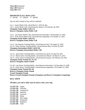**Class 180** Simmental **Class 190** Shorthorn **Class 200** AOB

#### **PREMIUMS IN ALL BEEF LOTS**

 $1^{\text{st}}$  - \$35.00  $2^{\text{nd}}$  - \$30.00  $3^{\text{rd}}$  - \$20.00

Any lot with 2 entries or less will be combined.

Lot 1. Junior Heifer Calf, calved March 1, 2022 & after Lot 2. Junior Heifer Calf, calved between January 1 & February 28, 2022 **Champion Junior Heifer Calf (1-2) Reserve Champion Junior Heifer Calf**

Lot 5. Late Senior Heifer Calf, calved between November 1 & December 31, 2021 Lot 6. Early Senior Heifer Calf, calved between September 1 & October 31, 2021 **Champion Senior Heifer Calf (5-6) Reserve Champion Senior Heifer Calf**

Lot 9. Late Summer Yearling Heifer, calved between July 1 & August 31, 2021 Lot 10. Early Summer Yearling Heifer, calved between May 1 & June 30, 2021 **Champion Intermediate Heifer Calf (9-10) Reserve Champion Intermediate Heifer Calf**

Lot 13. April Junior Yearling Heifer, calved between April 1 & April 30, 2021 Lot 14. March Junior Yearling Heifer, calved between March 1 & March 31, 2021 Lot 15. Early Junior Yearling Heifer, calved between January 1 & February 29, 2021 **Champion Junior Female (13, 14, 15) Reserve Champion Junior Female**

Lot 18. Late Senior Yearling Heifer, calved between November 1 & December 31, 2020 Lot 19. Early Senior Yearling Heifer, calved between September 1 & October 31, 2020 **Champion Senior Female (18, 19) Reserve Champion Senior Female Grand Champion Female Reserve Grand Champion Female (Champions and Reserve Champions Competing)**

#### **BULL SHOW**

**All bulls a year old or older must be shown with a nose ring.**

**CLASS 110** Angus **CLASS 120** Charolais **CLASS 130** Commercial **CLASS 140** Hereford **CLASS 150** Limousin **CLASS 160** Maine **CLASS 170** Red Angu**s CLASS 180** Simmental **CLASS 190** Shorthorn **CLASS 200** AOB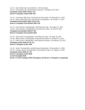Lot 23. Junior Bull Calf, calved March 1, 2022 and after. Lot 24. Junior Bull Calf, calved between January 1 & February 28, 2022 **Champion Junior Bull Calf (23, 24) Reserve Champion Junior Bull Calf**

Lot 25. Late Senior Bull Calf, calved between November 1 & December 31, 2021 Lot 26. Early Senior Bull Calf, calved between September 1 & October 31, 2021 **Champion Intermediate Bull Calf (25-26) Reserve Champion Intermediate Bull Calf**

Lot 27. Late Summer Yearling Bull, calved between July 1 & August 31, 2021 Lot 28. Early Summer Yearling Bull, calved between May 1 & June 30, 2021 **Champion Intermediate Bull (27-28) Reserve Champion Intermediate Bull**

Lot 29. April Junior Yearling Bull, calved between April 1 & April 30, 2021 Lot 30. March Junior Yearling Bull, calved between March 1 & March 31, 2021 Lot 31. Early Junior Yearling Bull, calved between January 1 & February 29, 2021 **Champion Junior Bull (29, 30, 31) Reserve Champion Junior Bull**

Lot 32. Senior Yearling Bull, calved between September 1 & December 31, 2020 Lot 33. Summer Senior Yearling Bull, calved between May 1 & August 31, 2020 **Champion Senior Bull (32, 33) Reserve Champion Senior Bull Grand Champion Bull Reserve Grand Champion Bull (Champions and Reserve Champions Competing)**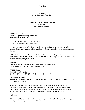#### **Division R Open Class Meat Goat Show**

#### **Jennifer Therring, Superintendent 507-421-6792 goatmama@outlook.com**

**Sunday July 17, 2022 Entries weigh-in beginning at 9:00 am. Show Begins at 11:00 a.m.**

**Location**: General Livestock Judging Arena Dodge County Fairgrounds, Kasson MN

**Preregistration** is preferred and appreciated. You can send via email or contact Jennifer for address. Substitutions are allowed the day of show. Online registration will be available through Facebook.

**PARKING:** This show will be during the Dodge County Fair. Parking available near show arena for GOAT EXHIBITORS ONLY NEAR THE SHOW ARENA. Any non-goat show vehicle will be prohibited beginning at 8:00 a.m.

#### **AWARDS:**

Over All Grand & Reserve Champion Meat Breeding Doe Banners Grand & Reserve Champion Market Goat Banners

#### **PREMIUMS**:

Lots 1, 2, 3, 4, 5, 8, 9, 10  $1^{st}$  - \$7  $2^{nd}$  - \$6  $3^{rd}$  - \$5  $4^{th}$  - \$4  $5^{th}$  - \$3  $6^{th}$  - \$2

#### **GENERAL RULES: Note: LIMITED PEN SPACE MAY BE AVAILABLE. THIS WILL BE CONDUCTED AS A "TRAILER" SHOW.**

This is an Open Meat Goat Show (Unsanctioned). Meat Goats may be any breed or cross, registered or unregistered. The purpose of this show is to provide an avenue for meat goat producers to exhibit, young showman to practice the art of showmanship, and compare their animals with others in our area, and to get to know one another in a fun, relaxing setting.

#### No Bucks

All animals will be subject to veterinary inspection prior to show. No abscesses, ringworm, sore mouth, or other contagious diseases will be allowed.